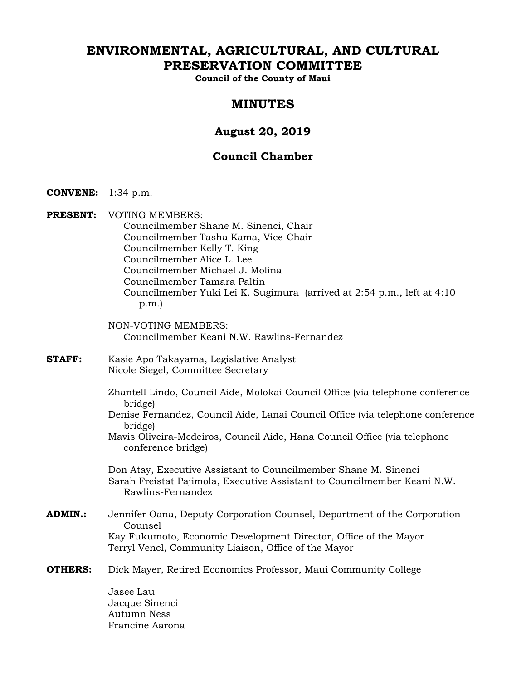# **ENVIRONMENTAL, AGRICULTURAL, AND CULTURAL PRESERVATION COMMITTEE**

**Council of the County of Maui** 

# **MINUTES**

# **August 20, 2019**

# **Council Chamber**

- **CONVENE:** 1:34 p.m.
- **PRESENT:** VOTING MEMBERS: Councilmember Shane M. Sinenci, Chair Councilmember Tasha Kama, Vice-Chair Councilmember Kelly T. King Councilmember Alice L. Lee Councilmember Michael J. Molina Councilmember Tamara Paltin Councilmember Yuki Lei K. Sugimura (arrived at 2:54 p.m., left at 4:10 p.m.)
	- NON-VOTING MEMBERS: Councilmember Keani N.W. Rawlins-Fernandez
- **STAFF:** Kasie Apo Takayama, Legislative Analyst Nicole Siegel, Committee Secretary
	- Zhantell Lindo, Council Aide, Molokai Council Office (via telephone conference bridge)
	- Denise Fernandez, Council Aide, Lanai Council Office (via telephone conference bridge)
	- Mavis Oliveira-Medeiros, Council Aide, Hana Council Office (via telephone conference bridge)

Don Atay, Executive Assistant to Councilmember Shane M. Sinenci Sarah Freistat Pajimola, Executive Assistant to Councilmember Keani N.W. Rawlins-Fernandez

- **ADMIN.:** Jennifer Oana, Deputy Corporation Counsel, Department of the Corporation Counsel Kay Fukumoto, Economic Development Director, Office of the Mayor Terryl Vencl, Community Liaison, Office of the Mayor
- **OTHERS:** Dick Mayer, Retired Economics Professor, Maui Community College

Jasee Lau Jacque Sinenci Autumn Ness Francine Aarona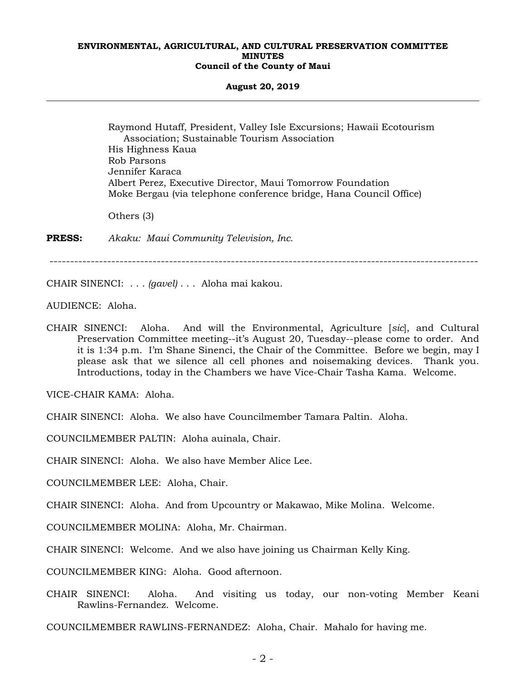#### **August 20, 2019**

 Raymond Hutaff, President, Valley Isle Excursions; Hawaii Ecotourism Association; Sustainable Tourism Association His Highness Kaua Rob Parsons Jennifer Karaca Albert Perez, Executive Director, Maui Tomorrow Foundation Moke Bergau (via telephone conference bridge, Hana Council Office)

Others (3)

**PRESS:** *Akaku: Maui Community Television, Inc.*

--------------------------------------------------------------------------------------------------------

CHAIR SINENCI: . . . *(gavel)* . . . Aloha mai kakou.

AUDIENCE: Aloha.

CHAIR SINENCI: Aloha. And will the Environmental, Agriculture [*sic*], and Cultural Preservation Committee meeting--it's August 20, Tuesday--please come to order. And it is 1:34 p.m. I'm Shane Sinenci, the Chair of the Committee. Before we begin, may I please ask that we silence all cell phones and noisemaking devices. Thank you. Introductions, today in the Chambers we have Vice-Chair Tasha Kama. Welcome.

VICE-CHAIR KAMA: Aloha.

CHAIR SINENCI: Aloha. We also have Councilmember Tamara Paltin. Aloha.

COUNCILMEMBER PALTIN: Aloha auinala, Chair.

CHAIR SINENCI: Aloha. We also have Member Alice Lee.

COUNCILMEMBER LEE: Aloha, Chair.

CHAIR SINENCI: Aloha. And from Upcountry or Makawao, Mike Molina. Welcome.

COUNCILMEMBER MOLINA: Aloha, Mr. Chairman.

CHAIR SINENCI: Welcome. And we also have joining us Chairman Kelly King.

COUNCILMEMBER KING: Aloha. Good afternoon.

CHAIR SINENCI: Aloha. And visiting us today, our non-voting Member Keani Rawlins-Fernandez. Welcome.

COUNCILMEMBER RAWLINS-FERNANDEZ: Aloha, Chair. Mahalo for having me.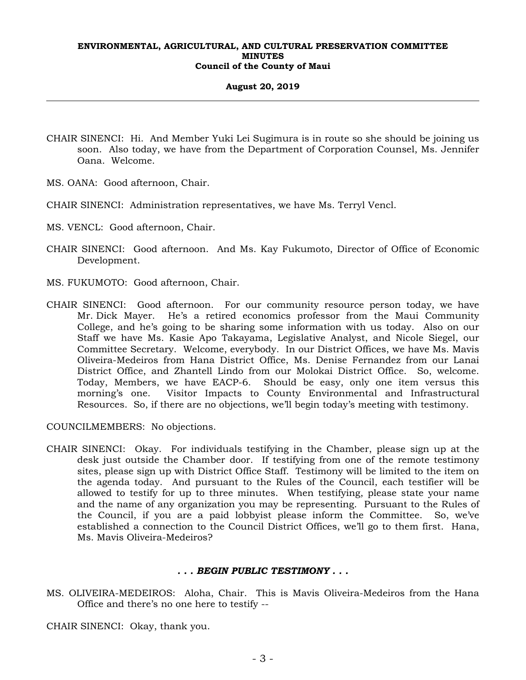### **August 20, 2019**

- CHAIR SINENCI: Hi. And Member Yuki Lei Sugimura is in route so she should be joining us soon. Also today, we have from the Department of Corporation Counsel, Ms. Jennifer Oana. Welcome.
- MS. OANA: Good afternoon, Chair.
- CHAIR SINENCI: Administration representatives, we have Ms. Terryl Vencl.
- MS. VENCL: Good afternoon, Chair.
- CHAIR SINENCI: Good afternoon. And Ms. Kay Fukumoto, Director of Office of Economic Development.
- MS. FUKUMOTO: Good afternoon, Chair.
- CHAIR SINENCI: Good afternoon. For our community resource person today, we have Mr. Dick Mayer. He's a retired economics professor from the Maui Community College, and he's going to be sharing some information with us today. Also on our Staff we have Ms. Kasie Apo Takayama, Legislative Analyst, and Nicole Siegel, our Committee Secretary. Welcome, everybody. In our District Offices, we have Ms. Mavis Oliveira-Medeiros from Hana District Office, Ms. Denise Fernandez from our Lanai District Office, and Zhantell Lindo from our Molokai District Office. So, welcome. Today, Members, we have EACP-6. Should be easy, only one item versus this morning's one. Visitor Impacts to County Environmental and Infrastructural Resources. So, if there are no objections, we'll begin today's meeting with testimony.

COUNCILMEMBERS: No objections.

CHAIR SINENCI: Okay. For individuals testifying in the Chamber, please sign up at the desk just outside the Chamber door. If testifying from one of the remote testimony sites, please sign up with District Office Staff. Testimony will be limited to the item on the agenda today. And pursuant to the Rules of the Council, each testifier will be allowed to testify for up to three minutes. When testifying, please state your name and the name of any organization you may be representing. Pursuant to the Rules of the Council, if you are a paid lobbyist please inform the Committee. So, we've established a connection to the Council District Offices, we'll go to them first. Hana, Ms. Mavis Oliveira-Medeiros?

## *. . . BEGIN PUBLIC TESTIMONY . . .*

MS. OLIVEIRA-MEDEIROS: Aloha, Chair. This is Mavis Oliveira-Medeiros from the Hana Office and there's no one here to testify --

CHAIR SINENCI: Okay, thank you.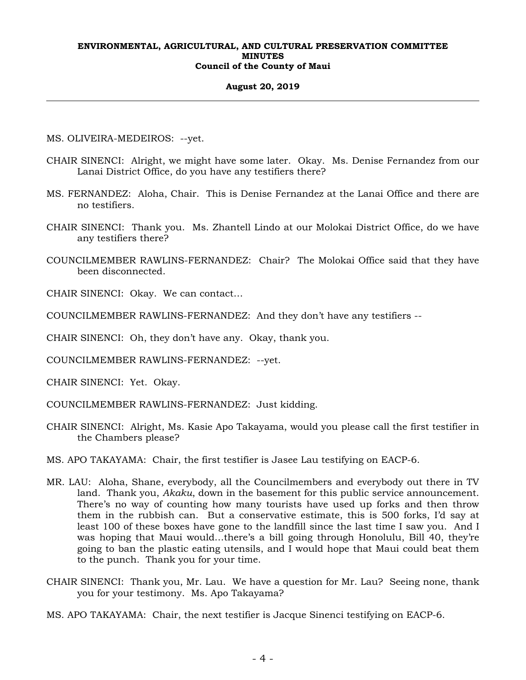### **August 20, 2019**

MS. OLIVEIRA-MEDEIROS: --yet.

- CHAIR SINENCI: Alright, we might have some later. Okay. Ms. Denise Fernandez from our Lanai District Office, do you have any testifiers there?
- MS. FERNANDEZ: Aloha, Chair. This is Denise Fernandez at the Lanai Office and there are no testifiers.
- CHAIR SINENCI: Thank you. Ms. Zhantell Lindo at our Molokai District Office, do we have any testifiers there?
- COUNCILMEMBER RAWLINS-FERNANDEZ: Chair? The Molokai Office said that they have been disconnected.

CHAIR SINENCI: Okay. We can contact…

COUNCILMEMBER RAWLINS-FERNANDEZ: And they don't have any testifiers --

CHAIR SINENCI: Oh, they don't have any. Okay, thank you.

COUNCILMEMBER RAWLINS-FERNANDEZ: --yet.

CHAIR SINENCI: Yet. Okay.

COUNCILMEMBER RAWLINS-FERNANDEZ: Just kidding.

- CHAIR SINENCI: Alright, Ms. Kasie Apo Takayama, would you please call the first testifier in the Chambers please?
- MS. APO TAKAYAMA: Chair, the first testifier is Jasee Lau testifying on EACP-6.
- MR. LAU: Aloha, Shane, everybody, all the Councilmembers and everybody out there in TV land. Thank you, *Akaku*, down in the basement for this public service announcement. There's no way of counting how many tourists have used up forks and then throw them in the rubbish can. But a conservative estimate, this is 500 forks, I'd say at least 100 of these boxes have gone to the landfill since the last time I saw you. And I was hoping that Maui would…there's a bill going through Honolulu, Bill 40, they're going to ban the plastic eating utensils, and I would hope that Maui could beat them to the punch. Thank you for your time.
- CHAIR SINENCI: Thank you, Mr. Lau. We have a question for Mr. Lau? Seeing none, thank you for your testimony. Ms. Apo Takayama?
- MS. APO TAKAYAMA: Chair, the next testifier is Jacque Sinenci testifying on EACP-6.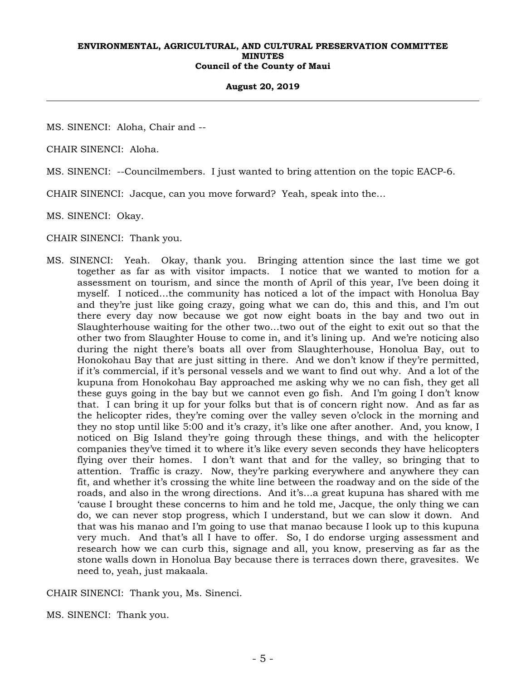#### **August 20, 2019**

MS. SINENCI: Aloha, Chair and --

CHAIR SINENCI: Aloha.

MS. SINENCI: --Councilmembers. I just wanted to bring attention on the topic EACP-6.

CHAIR SINENCI: Jacque, can you move forward? Yeah, speak into the…

MS. SINENCI: Okay.

CHAIR SINENCI: Thank you.

MS. SINENCI: Yeah. Okay, thank you. Bringing attention since the last time we got together as far as with visitor impacts. I notice that we wanted to motion for a assessment on tourism, and since the month of April of this year, I've been doing it myself. I noticed…the community has noticed a lot of the impact with Honolua Bay and they're just like going crazy, going what we can do, this and this, and I'm out there every day now because we got now eight boats in the bay and two out in Slaughterhouse waiting for the other two…two out of the eight to exit out so that the other two from Slaughter House to come in, and it's lining up. And we're noticing also during the night there's boats all over from Slaughterhouse, Honolua Bay, out to Honokohau Bay that are just sitting in there. And we don't know if they're permitted, if it's commercial, if it's personal vessels and we want to find out why. And a lot of the kupuna from Honokohau Bay approached me asking why we no can fish, they get all these guys going in the bay but we cannot even go fish. And I'm going I don't know that. I can bring it up for your folks but that is of concern right now. And as far as the helicopter rides, they're coming over the valley seven o'clock in the morning and they no stop until like 5:00 and it's crazy, it's like one after another. And, you know, I noticed on Big Island they're going through these things, and with the helicopter companies they've timed it to where it's like every seven seconds they have helicopters flying over their homes. I don't want that and for the valley, so bringing that to attention. Traffic is crazy. Now, they're parking everywhere and anywhere they can fit, and whether it's crossing the white line between the roadway and on the side of the roads, and also in the wrong directions. And it's…a great kupuna has shared with me 'cause I brought these concerns to him and he told me, Jacque, the only thing we can do, we can never stop progress, which I understand, but we can slow it down. And that was his manao and I'm going to use that manao because I look up to this kupuna very much. And that's all I have to offer. So, I do endorse urging assessment and research how we can curb this, signage and all, you know, preserving as far as the stone walls down in Honolua Bay because there is terraces down there, gravesites. We need to, yeah, just makaala.

CHAIR SINENCI: Thank you, Ms. Sinenci.

MS. SINENCI: Thank you.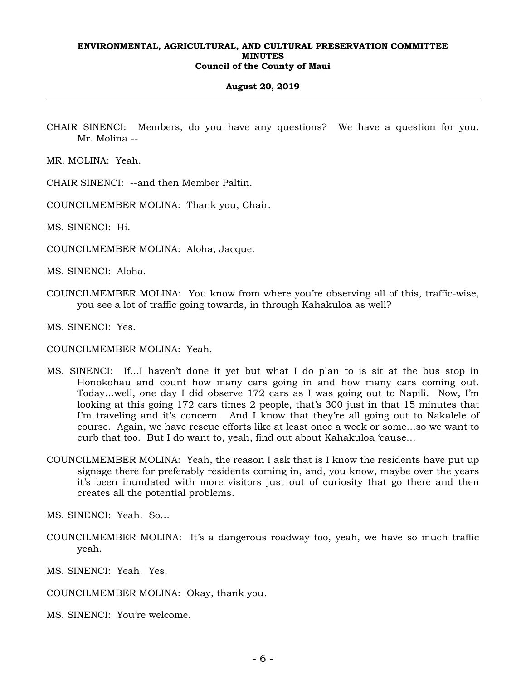#### **August 20, 2019**

CHAIR SINENCI: Members, do you have any questions? We have a question for you. Mr. Molina --

MR. MOLINA: Yeah.

CHAIR SINENCI: --and then Member Paltin.

COUNCILMEMBER MOLINA: Thank you, Chair.

MS. SINENCI: Hi.

COUNCILMEMBER MOLINA: Aloha, Jacque.

MS. SINENCI: Aloha.

COUNCILMEMBER MOLINA: You know from where you're observing all of this, traffic-wise, you see a lot of traffic going towards, in through Kahakuloa as well?

MS. SINENCI: Yes.

- COUNCILMEMBER MOLINA: Yeah.
- MS. SINENCI: If…I haven't done it yet but what I do plan to is sit at the bus stop in Honokohau and count how many cars going in and how many cars coming out. Today…well, one day I did observe 172 cars as I was going out to Napili. Now, I'm looking at this going 172 cars times 2 people, that's 300 just in that 15 minutes that I'm traveling and it's concern. And I know that they're all going out to Nakalele of course. Again, we have rescue efforts like at least once a week or some…so we want to curb that too. But I do want to, yeah, find out about Kahakuloa 'cause…
- COUNCILMEMBER MOLINA: Yeah, the reason I ask that is I know the residents have put up signage there for preferably residents coming in, and, you know, maybe over the years it's been inundated with more visitors just out of curiosity that go there and then creates all the potential problems.

MS. SINENCI: Yeah. So…

COUNCILMEMBER MOLINA: It's a dangerous roadway too, yeah, we have so much traffic yeah.

MS. SINENCI: Yeah. Yes.

COUNCILMEMBER MOLINA: Okay, thank you.

MS. SINENCI: You're welcome.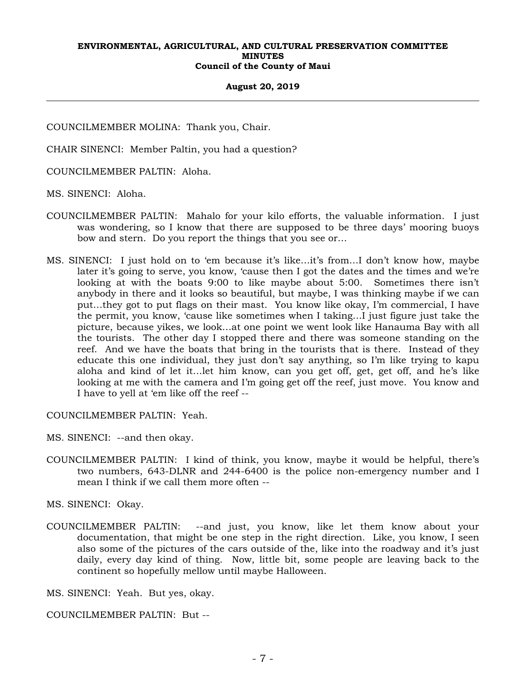#### **August 20, 2019**

COUNCILMEMBER MOLINA: Thank you, Chair.

CHAIR SINENCI: Member Paltin, you had a question?

COUNCILMEMBER PALTIN: Aloha.

MS. SINENCI: Aloha.

- COUNCILMEMBER PALTIN: Mahalo for your kilo efforts, the valuable information. I just was wondering, so I know that there are supposed to be three days' mooring buoys bow and stern. Do you report the things that you see or…
- MS. SINENCI: I just hold on to 'em because it's like…it's from…I don't know how, maybe later it's going to serve, you know, 'cause then I got the dates and the times and we're looking at with the boats 9:00 to like maybe about 5:00. Sometimes there isn't anybody in there and it looks so beautiful, but maybe, I was thinking maybe if we can put…they got to put flags on their mast. You know like okay, I'm commercial, I have the permit, you know, 'cause like sometimes when I taking…I just figure just take the picture, because yikes, we look…at one point we went look like Hanauma Bay with all the tourists. The other day I stopped there and there was someone standing on the reef. And we have the boats that bring in the tourists that is there. Instead of they educate this one individual, they just don't say anything, so I'm like trying to kapu aloha and kind of let it…let him know, can you get off, get, get off, and he's like looking at me with the camera and I'm going get off the reef, just move. You know and I have to yell at 'em like off the reef --

COUNCILMEMBER PALTIN: Yeah.

MS. SINENCI: --and then okay.

COUNCILMEMBER PALTIN: I kind of think, you know, maybe it would be helpful, there's two numbers, 643-DLNR and 244-6400 is the police non-emergency number and I mean I think if we call them more often --

MS. SINENCI: Okay.

COUNCILMEMBER PALTIN: --and just, you know, like let them know about your documentation, that might be one step in the right direction. Like, you know, I seen also some of the pictures of the cars outside of the, like into the roadway and it's just daily, every day kind of thing. Now, little bit, some people are leaving back to the continent so hopefully mellow until maybe Halloween.

MS. SINENCI: Yeah. But yes, okay.

COUNCILMEMBER PALTIN: But --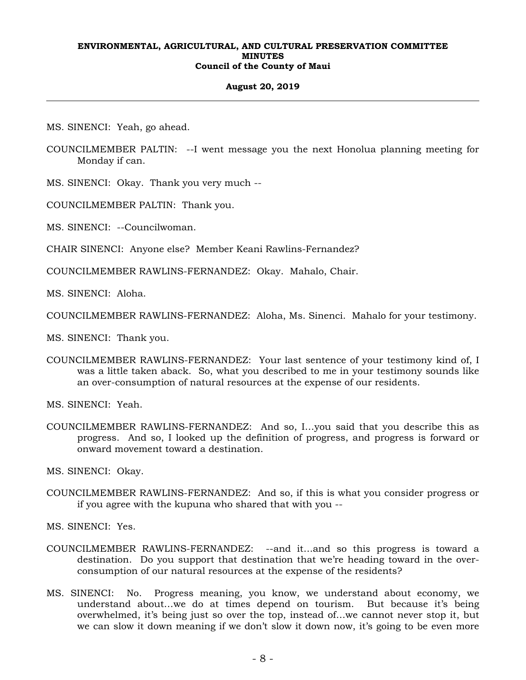## **August 20, 2019**

MS. SINENCI: Yeah, go ahead.

- COUNCILMEMBER PALTIN: --I went message you the next Honolua planning meeting for Monday if can.
- MS. SINENCI: Okay. Thank you very much --
- COUNCILMEMBER PALTIN: Thank you.

MS. SINENCI: --Councilwoman.

CHAIR SINENCI: Anyone else? Member Keani Rawlins-Fernandez?

COUNCILMEMBER RAWLINS-FERNANDEZ: Okay. Mahalo, Chair.

MS. SINENCI: Aloha.

COUNCILMEMBER RAWLINS-FERNANDEZ: Aloha, Ms. Sinenci. Mahalo for your testimony.

MS. SINENCI: Thank you.

COUNCILMEMBER RAWLINS-FERNANDEZ: Your last sentence of your testimony kind of, I was a little taken aback. So, what you described to me in your testimony sounds like an over-consumption of natural resources at the expense of our residents.

MS. SINENCI: Yeah.

COUNCILMEMBER RAWLINS-FERNANDEZ: And so, I…you said that you describe this as progress. And so, I looked up the definition of progress, and progress is forward or onward movement toward a destination.

MS. SINENCI: Okay.

COUNCILMEMBER RAWLINS-FERNANDEZ: And so, if this is what you consider progress or if you agree with the kupuna who shared that with you --

MS. SINENCI: Yes.

- COUNCILMEMBER RAWLINS-FERNANDEZ: --and it…and so this progress is toward a destination. Do you support that destination that we're heading toward in the overconsumption of our natural resources at the expense of the residents?
- MS. SINENCI: No. Progress meaning, you know, we understand about economy, we understand about…we do at times depend on tourism. But because it's being overwhelmed, it's being just so over the top, instead of…we cannot never stop it, but we can slow it down meaning if we don't slow it down now, it's going to be even more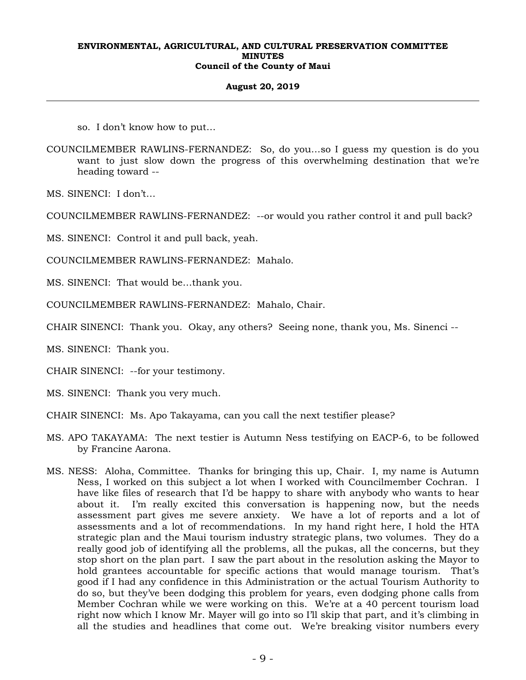## **August 20, 2019**

so. I don't know how to put…

COUNCILMEMBER RAWLINS-FERNANDEZ: So, do you…so I guess my question is do you want to just slow down the progress of this overwhelming destination that we're heading toward --

MS. SINENCI: I don't…

COUNCILMEMBER RAWLINS-FERNANDEZ: --or would you rather control it and pull back?

MS. SINENCI: Control it and pull back, yeah.

COUNCILMEMBER RAWLINS-FERNANDEZ: Mahalo.

MS. SINENCI: That would be…thank you.

COUNCILMEMBER RAWLINS-FERNANDEZ: Mahalo, Chair.

CHAIR SINENCI: Thank you. Okay, any others? Seeing none, thank you, Ms. Sinenci --

MS. SINENCI: Thank you.

CHAIR SINENCI: --for your testimony.

MS. SINENCI: Thank you very much.

CHAIR SINENCI: Ms. Apo Takayama, can you call the next testifier please?

- MS. APO TAKAYAMA: The next testier is Autumn Ness testifying on EACP-6, to be followed by Francine Aarona.
- MS. NESS: Aloha, Committee. Thanks for bringing this up, Chair. I, my name is Autumn Ness, I worked on this subject a lot when I worked with Councilmember Cochran. I have like files of research that I'd be happy to share with anybody who wants to hear about it. I'm really excited this conversation is happening now, but the needs assessment part gives me severe anxiety. We have a lot of reports and a lot of assessments and a lot of recommendations. In my hand right here, I hold the HTA strategic plan and the Maui tourism industry strategic plans, two volumes. They do a really good job of identifying all the problems, all the pukas, all the concerns, but they stop short on the plan part. I saw the part about in the resolution asking the Mayor to hold grantees accountable for specific actions that would manage tourism. That's good if I had any confidence in this Administration or the actual Tourism Authority to do so, but they've been dodging this problem for years, even dodging phone calls from Member Cochran while we were working on this. We're at a 40 percent tourism load right now which I know Mr. Mayer will go into so I'll skip that part, and it's climbing in all the studies and headlines that come out. We're breaking visitor numbers every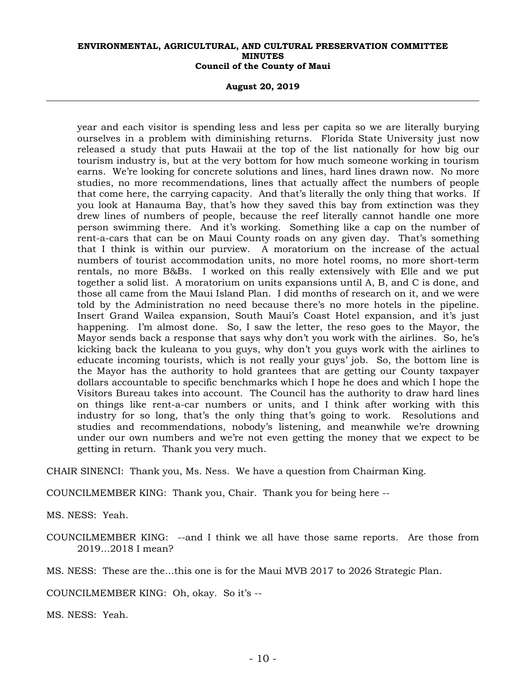**August 20, 2019** 

year and each visitor is spending less and less per capita so we are literally burying ourselves in a problem with diminishing returns. Florida State University just now released a study that puts Hawaii at the top of the list nationally for how big our tourism industry is, but at the very bottom for how much someone working in tourism earns. We're looking for concrete solutions and lines, hard lines drawn now. No more studies, no more recommendations, lines that actually affect the numbers of people that come here, the carrying capacity. And that's literally the only thing that works. If you look at Hanauma Bay, that's how they saved this bay from extinction was they drew lines of numbers of people, because the reef literally cannot handle one more person swimming there. And it's working. Something like a cap on the number of rent-a-cars that can be on Maui County roads on any given day. That's something that I think is within our purview. A moratorium on the increase of the actual numbers of tourist accommodation units, no more hotel rooms, no more short-term rentals, no more B&Bs. I worked on this really extensively with Elle and we put together a solid list. A moratorium on units expansions until A, B, and C is done, and those all came from the Maui Island Plan. I did months of research on it, and we were told by the Administration no need because there's no more hotels in the pipeline. Insert Grand Wailea expansion, South Maui's Coast Hotel expansion, and it's just happening. I'm almost done. So, I saw the letter, the reso goes to the Mayor, the Mayor sends back a response that says why don't you work with the airlines. So, he's kicking back the kuleana to you guys, why don't you guys work with the airlines to educate incoming tourists, which is not really your guys' job. So, the bottom line is the Mayor has the authority to hold grantees that are getting our County taxpayer dollars accountable to specific benchmarks which I hope he does and which I hope the Visitors Bureau takes into account. The Council has the authority to draw hard lines on things like rent-a-car numbers or units, and I think after working with this industry for so long, that's the only thing that's going to work. Resolutions and studies and recommendations, nobody's listening, and meanwhile we're drowning under our own numbers and we're not even getting the money that we expect to be getting in return. Thank you very much.

CHAIR SINENCI: Thank you, Ms. Ness. We have a question from Chairman King.

COUNCILMEMBER KING: Thank you, Chair. Thank you for being here --

MS. NESS: Yeah.

COUNCILMEMBER KING: --and I think we all have those same reports. Are those from 2019…2018 I mean?

MS. NESS: These are the…this one is for the Maui MVB 2017 to 2026 Strategic Plan.

COUNCILMEMBER KING: Oh, okay. So it's --

MS. NESS: Yeah.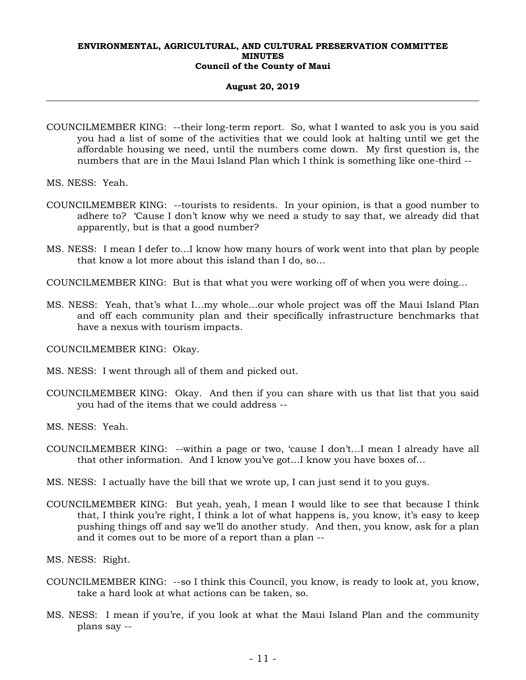## **August 20, 2019**

COUNCILMEMBER KING: --their long-term report. So, what I wanted to ask you is you said you had a list of some of the activities that we could look at halting until we get the affordable housing we need, until the numbers come down. My first question is, the numbers that are in the Maui Island Plan which I think is something like one-third --

MS. NESS: Yeah.

- COUNCILMEMBER KING: --tourists to residents. In your opinion, is that a good number to adhere to? 'Cause I don't know why we need a study to say that, we already did that apparently, but is that a good number?
- MS. NESS: I mean I defer to…I know how many hours of work went into that plan by people that know a lot more about this island than I do, so…

COUNCILMEMBER KING: But is that what you were working off of when you were doing…

MS. NESS: Yeah, that's what I…my whole…our whole project was off the Maui Island Plan and off each community plan and their specifically infrastructure benchmarks that have a nexus with tourism impacts.

COUNCILMEMBER KING: Okay.

MS. NESS: I went through all of them and picked out.

- COUNCILMEMBER KING: Okay. And then if you can share with us that list that you said you had of the items that we could address --
- MS. NESS: Yeah.
- COUNCILMEMBER KING: --within a page or two, 'cause I don't…I mean I already have all that other information. And I know you've got…I know you have boxes of…
- MS. NESS: I actually have the bill that we wrote up, I can just send it to you guys.
- COUNCILMEMBER KING: But yeah, yeah, I mean I would like to see that because I think that, I think you're right, I think a lot of what happens is, you know, it's easy to keep pushing things off and say we'll do another study. And then, you know, ask for a plan and it comes out to be more of a report than a plan --

MS. NESS: Right.

- COUNCILMEMBER KING: --so I think this Council, you know, is ready to look at, you know, take a hard look at what actions can be taken, so.
- MS. NESS: I mean if you're, if you look at what the Maui Island Plan and the community plans say --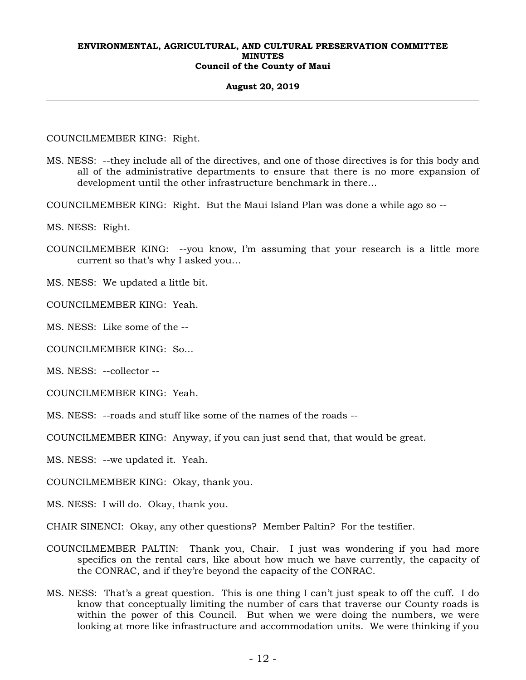#### **August 20, 2019**

COUNCILMEMBER KING: Right.

- MS. NESS: --they include all of the directives, and one of those directives is for this body and all of the administrative departments to ensure that there is no more expansion of development until the other infrastructure benchmark in there…
- COUNCILMEMBER KING: Right. But the Maui Island Plan was done a while ago so --

MS. NESS: Right.

COUNCILMEMBER KING: --you know, I'm assuming that your research is a little more current so that's why I asked you…

MS. NESS: We updated a little bit.

COUNCILMEMBER KING: Yeah.

MS. NESS: Like some of the --

COUNCILMEMBER KING: So…

MS. NESS: --collector --

COUNCILMEMBER KING: Yeah.

MS. NESS: --roads and stuff like some of the names of the roads --

COUNCILMEMBER KING: Anyway, if you can just send that, that would be great.

MS. NESS: --we updated it. Yeah.

COUNCILMEMBER KING: Okay, thank you.

MS. NESS: I will do. Okay, thank you.

CHAIR SINENCI: Okay, any other questions? Member Paltin? For the testifier.

- COUNCILMEMBER PALTIN: Thank you, Chair. I just was wondering if you had more specifics on the rental cars, like about how much we have currently, the capacity of the CONRAC, and if they're beyond the capacity of the CONRAC.
- MS. NESS: That's a great question. This is one thing I can't just speak to off the cuff. I do know that conceptually limiting the number of cars that traverse our County roads is within the power of this Council. But when we were doing the numbers, we were looking at more like infrastructure and accommodation units. We were thinking if you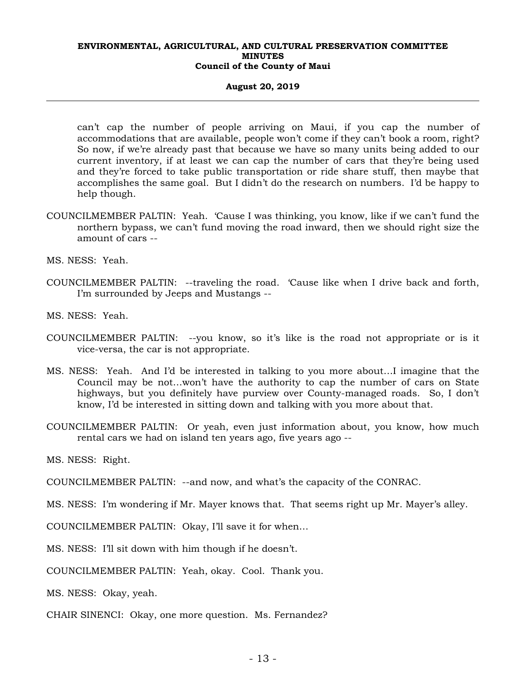#### **August 20, 2019**

can't cap the number of people arriving on Maui, if you cap the number of accommodations that are available, people won't come if they can't book a room, right? So now, if we're already past that because we have so many units being added to our current inventory, if at least we can cap the number of cars that they're being used and they're forced to take public transportation or ride share stuff, then maybe that accomplishes the same goal. But I didn't do the research on numbers. I'd be happy to help though.

COUNCILMEMBER PALTIN: Yeah. 'Cause I was thinking, you know, like if we can't fund the northern bypass, we can't fund moving the road inward, then we should right size the amount of cars --

MS. NESS: Yeah.

- COUNCILMEMBER PALTIN: --traveling the road. 'Cause like when I drive back and forth, I'm surrounded by Jeeps and Mustangs --
- MS. NESS: Yeah.
- COUNCILMEMBER PALTIN: --you know, so it's like is the road not appropriate or is it vice-versa, the car is not appropriate.
- MS. NESS: Yeah. And I'd be interested in talking to you more about…I imagine that the Council may be not…won't have the authority to cap the number of cars on State highways, but you definitely have purview over County-managed roads. So, I don't know, I'd be interested in sitting down and talking with you more about that.
- COUNCILMEMBER PALTIN: Or yeah, even just information about, you know, how much rental cars we had on island ten years ago, five years ago --
- MS. NESS: Right.
- COUNCILMEMBER PALTIN: --and now, and what's the capacity of the CONRAC.
- MS. NESS: I'm wondering if Mr. Mayer knows that. That seems right up Mr. Mayer's alley.
- COUNCILMEMBER PALTIN: Okay, I'll save it for when…
- MS. NESS: I'll sit down with him though if he doesn't.
- COUNCILMEMBER PALTIN: Yeah, okay. Cool. Thank you.

MS. NESS: Okay, yeah.

CHAIR SINENCI: Okay, one more question. Ms. Fernandez?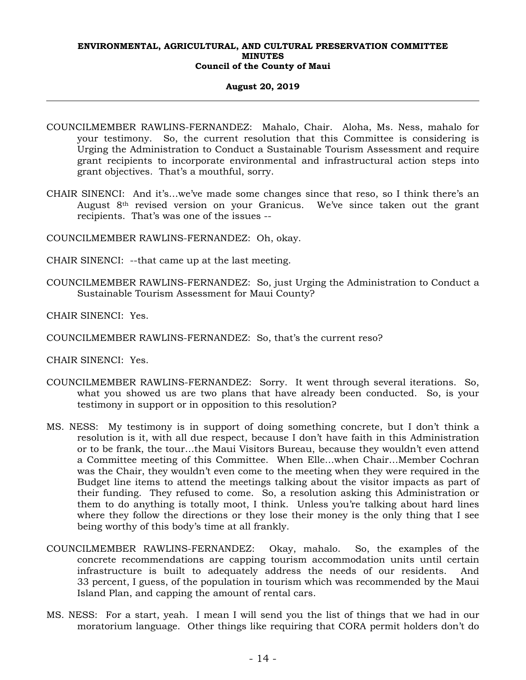## **August 20, 2019**

- COUNCILMEMBER RAWLINS-FERNANDEZ: Mahalo, Chair. Aloha, Ms. Ness, mahalo for your testimony. So, the current resolution that this Committee is considering is Urging the Administration to Conduct a Sustainable Tourism Assessment and require grant recipients to incorporate environmental and infrastructural action steps into grant objectives. That's a mouthful, sorry.
- CHAIR SINENCI: And it's…we've made some changes since that reso, so I think there's an August 8th revised version on your Granicus. We've since taken out the grant recipients. That's was one of the issues --

COUNCILMEMBER RAWLINS-FERNANDEZ: Oh, okay.

- CHAIR SINENCI: --that came up at the last meeting.
- COUNCILMEMBER RAWLINS-FERNANDEZ: So, just Urging the Administration to Conduct a Sustainable Tourism Assessment for Maui County?

CHAIR SINENCI: Yes.

COUNCILMEMBER RAWLINS-FERNANDEZ: So, that's the current reso?

CHAIR SINENCI: Yes.

- COUNCILMEMBER RAWLINS-FERNANDEZ: Sorry. It went through several iterations. So, what you showed us are two plans that have already been conducted. So, is your testimony in support or in opposition to this resolution?
- MS. NESS: My testimony is in support of doing something concrete, but I don't think a resolution is it, with all due respect, because I don't have faith in this Administration or to be frank, the tour…the Maui Visitors Bureau, because they wouldn't even attend a Committee meeting of this Committee. When Elle…when Chair…Member Cochran was the Chair, they wouldn't even come to the meeting when they were required in the Budget line items to attend the meetings talking about the visitor impacts as part of their funding. They refused to come. So, a resolution asking this Administration or them to do anything is totally moot, I think. Unless you're talking about hard lines where they follow the directions or they lose their money is the only thing that I see being worthy of this body's time at all frankly.
- COUNCILMEMBER RAWLINS-FERNANDEZ: Okay, mahalo. So, the examples of the concrete recommendations are capping tourism accommodation units until certain infrastructure is built to adequately address the needs of our residents. And 33 percent, I guess, of the population in tourism which was recommended by the Maui Island Plan, and capping the amount of rental cars.
- MS. NESS: For a start, yeah. I mean I will send you the list of things that we had in our moratorium language. Other things like requiring that CORA permit holders don't do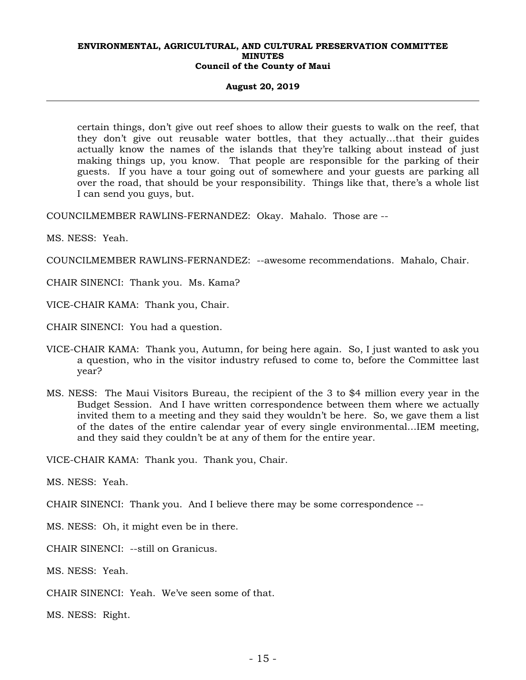#### **August 20, 2019**

certain things, don't give out reef shoes to allow their guests to walk on the reef, that they don't give out reusable water bottles, that they actually…that their guides actually know the names of the islands that they're talking about instead of just making things up, you know. That people are responsible for the parking of their guests. If you have a tour going out of somewhere and your guests are parking all over the road, that should be your responsibility. Things like that, there's a whole list I can send you guys, but.

COUNCILMEMBER RAWLINS-FERNANDEZ: Okay. Mahalo. Those are --

MS. NESS: Yeah.

COUNCILMEMBER RAWLINS-FERNANDEZ: --awesome recommendations. Mahalo, Chair.

CHAIR SINENCI: Thank you. Ms. Kama?

VICE-CHAIR KAMA: Thank you, Chair.

CHAIR SINENCI: You had a question.

- VICE-CHAIR KAMA: Thank you, Autumn, for being here again. So, I just wanted to ask you a question, who in the visitor industry refused to come to, before the Committee last year?
- MS. NESS: The Maui Visitors Bureau, the recipient of the 3 to \$4 million every year in the Budget Session. And I have written correspondence between them where we actually invited them to a meeting and they said they wouldn't be here. So, we gave them a list of the dates of the entire calendar year of every single environmental…IEM meeting, and they said they couldn't be at any of them for the entire year.

VICE-CHAIR KAMA: Thank you. Thank you, Chair.

MS. NESS: Yeah.

CHAIR SINENCI: Thank you. And I believe there may be some correspondence --

MS. NESS: Oh, it might even be in there.

CHAIR SINENCI: --still on Granicus.

MS. NESS: Yeah.

CHAIR SINENCI: Yeah. We've seen some of that.

MS. NESS: Right.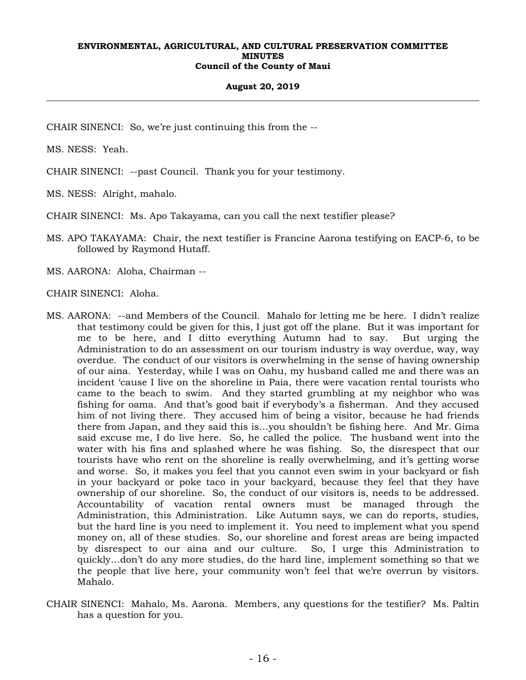## **August 20, 2019**

CHAIR SINENCI: So, we're just continuing this from the --

MS. NESS: Yeah.

CHAIR SINENCI: --past Council. Thank you for your testimony.

MS. NESS: Alright, mahalo.

CHAIR SINENCI: Ms. Apo Takayama, can you call the next testifier please?

MS. APO TAKAYAMA: Chair, the next testifier is Francine Aarona testifying on EACP-6, to be followed by Raymond Hutaff.

MS. AARONA: Aloha, Chairman --

CHAIR SINENCI: Aloha.

- MS. AARONA: --and Members of the Council. Mahalo for letting me be here. I didn't realize that testimony could be given for this, I just got off the plane. But it was important for me to be here, and I ditto everything Autumn had to say. But urging the Administration to do an assessment on our tourism industry is way overdue, way, way overdue. The conduct of our visitors is overwhelming in the sense of having ownership of our aina. Yesterday, while I was on Oahu, my husband called me and there was an incident 'cause I live on the shoreline in Paia, there were vacation rental tourists who came to the beach to swim. And they started grumbling at my neighbor who was fishing for oama. And that's good bait if everybody's a fisherman. And they accused him of not living there. They accused him of being a visitor, because he had friends there from Japan, and they said this is…you shouldn't be fishing here. And Mr. Gima said excuse me, I do live here. So, he called the police. The husband went into the water with his fins and splashed where he was fishing. So, the disrespect that our tourists have who rent on the shoreline is really overwhelming, and it's getting worse and worse. So, it makes you feel that you cannot even swim in your backyard or fish in your backyard or poke taco in your backyard, because they feel that they have ownership of our shoreline. So, the conduct of our visitors is, needs to be addressed. Accountability of vacation rental owners must be managed through the Administration, this Administration. Like Autumn says, we can do reports, studies, but the hard line is you need to implement it. You need to implement what you spend money on, all of these studies. So, our shoreline and forest areas are being impacted by disrespect to our aina and our culture. So, I urge this Administration to quickly…don't do any more studies, do the hard line, implement something so that we the people that live here, your community won't feel that we're overrun by visitors. Mahalo.
- CHAIR SINENCI: Mahalo, Ms. Aarona. Members, any questions for the testifier? Ms. Paltin has a question for you.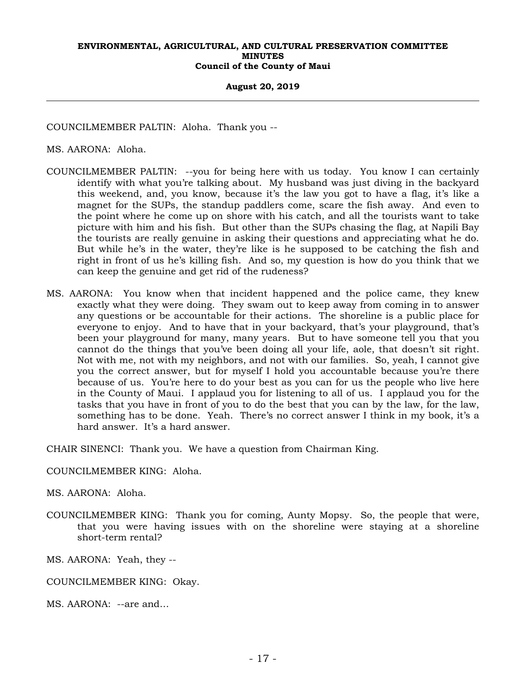#### **August 20, 2019**

COUNCILMEMBER PALTIN: Aloha. Thank you --

MS. AARONA: Aloha.

- COUNCILMEMBER PALTIN: --you for being here with us today. You know I can certainly identify with what you're talking about. My husband was just diving in the backyard this weekend, and, you know, because it's the law you got to have a flag, it's like a magnet for the SUPs, the standup paddlers come, scare the fish away. And even to the point where he come up on shore with his catch, and all the tourists want to take picture with him and his fish. But other than the SUPs chasing the flag, at Napili Bay the tourists are really genuine in asking their questions and appreciating what he do. But while he's in the water, they're like is he supposed to be catching the fish and right in front of us he's killing fish. And so, my question is how do you think that we can keep the genuine and get rid of the rudeness?
- MS. AARONA: You know when that incident happened and the police came, they knew exactly what they were doing. They swam out to keep away from coming in to answer any questions or be accountable for their actions. The shoreline is a public place for everyone to enjoy. And to have that in your backyard, that's your playground, that's been your playground for many, many years. But to have someone tell you that you cannot do the things that you've been doing all your life, aole, that doesn't sit right. Not with me, not with my neighbors, and not with our families. So, yeah, I cannot give you the correct answer, but for myself I hold you accountable because you're there because of us. You're here to do your best as you can for us the people who live here in the County of Maui. I applaud you for listening to all of us. I applaud you for the tasks that you have in front of you to do the best that you can by the law, for the law, something has to be done. Yeah. There's no correct answer I think in my book, it's a hard answer. It's a hard answer.

CHAIR SINENCI: Thank you. We have a question from Chairman King.

## COUNCILMEMBER KING: Aloha.

MS. AARONA: Aloha.

COUNCILMEMBER KING: Thank you for coming, Aunty Mopsy. So, the people that were, that you were having issues with on the shoreline were staying at a shoreline short-term rental?

MS. AARONA: Yeah, they --

- COUNCILMEMBER KING: Okay.
- MS. AARONA: --are and…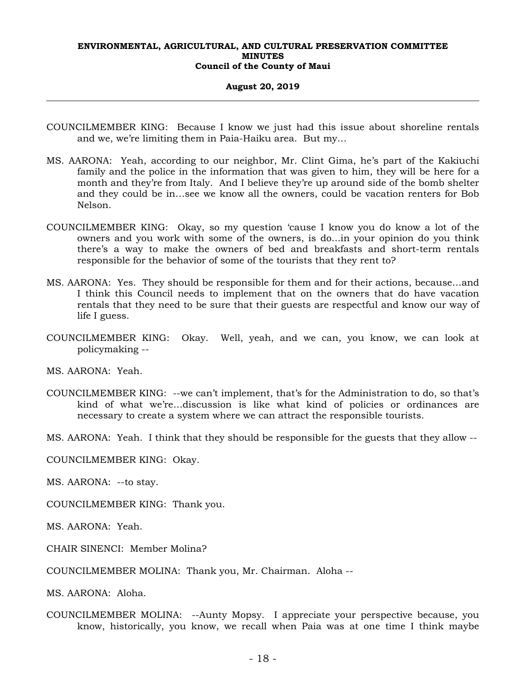#### **August 20, 2019**

- COUNCILMEMBER KING: Because I know we just had this issue about shoreline rentals and we, we're limiting them in Paia-Haiku area. But my…
- MS. AARONA: Yeah, according to our neighbor, Mr. Clint Gima, he's part of the Kakiuchi family and the police in the information that was given to him, they will be here for a month and they're from Italy. And I believe they're up around side of the bomb shelter and they could be in…see we know all the owners, could be vacation renters for Bob Nelson.
- COUNCILMEMBER KING: Okay, so my question 'cause I know you do know a lot of the owners and you work with some of the owners, is do...in your opinion do you think there's a way to make the owners of bed and breakfasts and short-term rentals responsible for the behavior of some of the tourists that they rent to?
- MS. AARONA: Yes. They should be responsible for them and for their actions, because…and I think this Council needs to implement that on the owners that do have vacation rentals that they need to be sure that their guests are respectful and know our way of life I guess.
- COUNCILMEMBER KING: Okay. Well, yeah, and we can, you know, we can look at policymaking --

MS. AARONA: Yeah.

- COUNCILMEMBER KING: --we can't implement, that's for the Administration to do, so that's kind of what we're…discussion is like what kind of policies or ordinances are necessary to create a system where we can attract the responsible tourists.
- MS. AARONA: Yeah. I think that they should be responsible for the guests that they allow --
- COUNCILMEMBER KING: Okay.

MS. AARONA: --to stay.

COUNCILMEMBER KING: Thank you.

MS. AARONA: Yeah.

CHAIR SINENCI: Member Molina?

COUNCILMEMBER MOLINA: Thank you, Mr. Chairman. Aloha --

MS. AARONA: Aloha.

COUNCILMEMBER MOLINA: --Aunty Mopsy. I appreciate your perspective because, you know, historically, you know, we recall when Paia was at one time I think maybe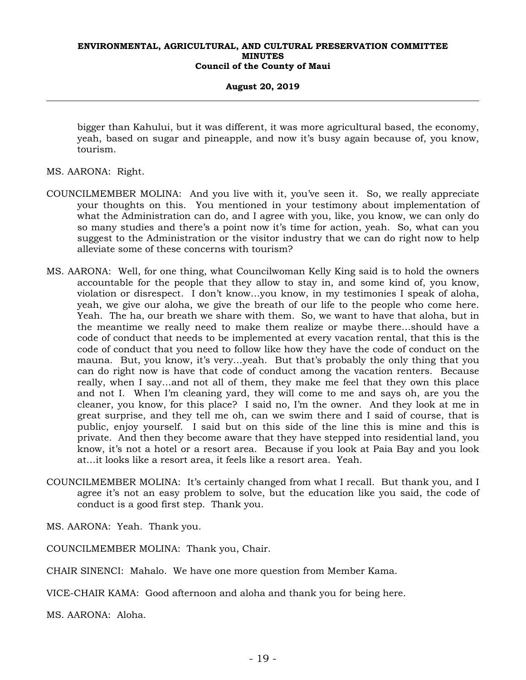### **August 20, 2019**

bigger than Kahului, but it was different, it was more agricultural based, the economy, yeah, based on sugar and pineapple, and now it's busy again because of, you know, tourism.

MS. AARONA: Right.

- COUNCILMEMBER MOLINA: And you live with it, you've seen it. So, we really appreciate your thoughts on this. You mentioned in your testimony about implementation of what the Administration can do, and I agree with you, like, you know, we can only do so many studies and there's a point now it's time for action, yeah. So, what can you suggest to the Administration or the visitor industry that we can do right now to help alleviate some of these concerns with tourism?
- MS. AARONA: Well, for one thing, what Councilwoman Kelly King said is to hold the owners accountable for the people that they allow to stay in, and some kind of, you know, violation or disrespect. I don't know…you know, in my testimonies I speak of aloha, yeah, we give our aloha, we give the breath of our life to the people who come here. Yeah. The ha, our breath we share with them. So, we want to have that aloha, but in the meantime we really need to make them realize or maybe there…should have a code of conduct that needs to be implemented at every vacation rental, that this is the code of conduct that you need to follow like how they have the code of conduct on the mauna. But, you know, it's very…yeah. But that's probably the only thing that you can do right now is have that code of conduct among the vacation renters. Because really, when I say…and not all of them, they make me feel that they own this place and not I. When I'm cleaning yard, they will come to me and says oh, are you the cleaner, you know, for this place? I said no, I'm the owner. And they look at me in great surprise, and they tell me oh, can we swim there and I said of course, that is public, enjoy yourself. I said but on this side of the line this is mine and this is private. And then they become aware that they have stepped into residential land, you know, it's not a hotel or a resort area. Because if you look at Paia Bay and you look at…it looks like a resort area, it feels like a resort area. Yeah.
- COUNCILMEMBER MOLINA: It's certainly changed from what I recall. But thank you, and I agree it's not an easy problem to solve, but the education like you said, the code of conduct is a good first step. Thank you.

MS. AARONA: Yeah. Thank you.

COUNCILMEMBER MOLINA: Thank you, Chair.

CHAIR SINENCI: Mahalo. We have one more question from Member Kama.

VICE-CHAIR KAMA: Good afternoon and aloha and thank you for being here.

MS. AARONA: Aloha.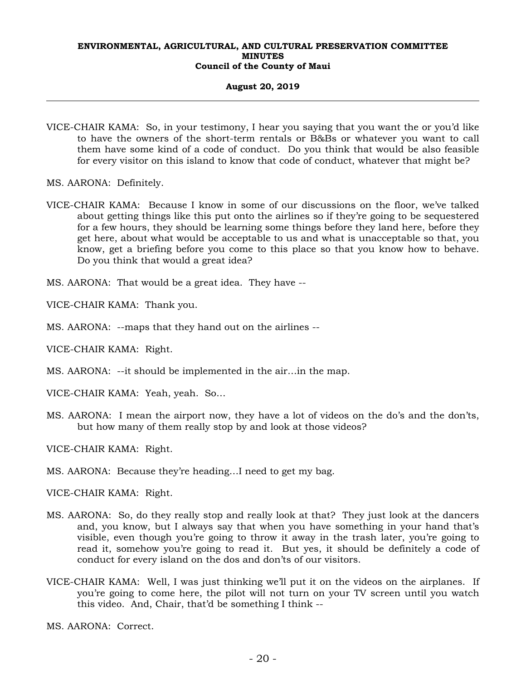## **August 20, 2019**

- VICE-CHAIR KAMA: So, in your testimony, I hear you saying that you want the or you'd like to have the owners of the short-term rentals or B&Bs or whatever you want to call them have some kind of a code of conduct. Do you think that would be also feasible for every visitor on this island to know that code of conduct, whatever that might be?
- MS. AARONA: Definitely.
- VICE-CHAIR KAMA: Because I know in some of our discussions on the floor, we've talked about getting things like this put onto the airlines so if they're going to be sequestered for a few hours, they should be learning some things before they land here, before they get here, about what would be acceptable to us and what is unacceptable so that, you know, get a briefing before you come to this place so that you know how to behave. Do you think that would a great idea?

MS. AARONA: That would be a great idea. They have --

VICE-CHAIR KAMA: Thank you.

MS. AARONA: --maps that they hand out on the airlines --

VICE-CHAIR KAMA: Right.

- MS. AARONA: --it should be implemented in the air…in the map.
- VICE-CHAIR KAMA: Yeah, yeah. So…
- MS. AARONA: I mean the airport now, they have a lot of videos on the do's and the don'ts, but how many of them really stop by and look at those videos?

VICE-CHAIR KAMA: Right.

MS. AARONA: Because they're heading…I need to get my bag.

VICE-CHAIR KAMA: Right.

- MS. AARONA: So, do they really stop and really look at that? They just look at the dancers and, you know, but I always say that when you have something in your hand that's visible, even though you're going to throw it away in the trash later, you're going to read it, somehow you're going to read it. But yes, it should be definitely a code of conduct for every island on the dos and don'ts of our visitors.
- VICE-CHAIR KAMA: Well, I was just thinking we'll put it on the videos on the airplanes. If you're going to come here, the pilot will not turn on your TV screen until you watch this video. And, Chair, that'd be something I think --

MS. AARONA: Correct.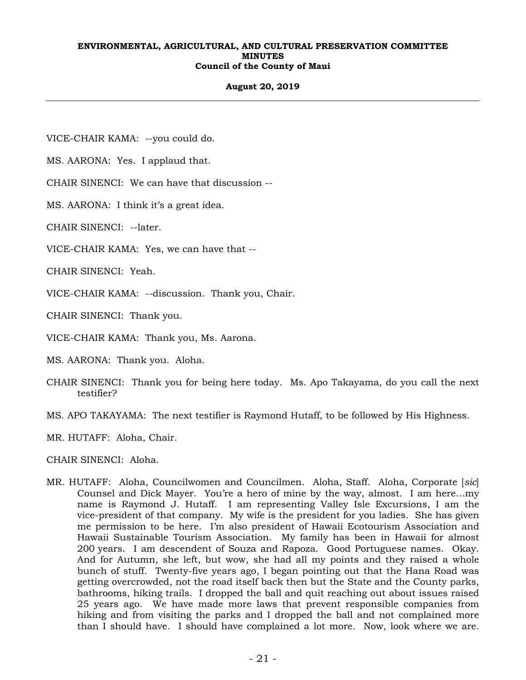## **August 20, 2019**

VICE-CHAIR KAMA: --you could do.

MS. AARONA: Yes. I applaud that.

CHAIR SINENCI: We can have that discussion --

MS. AARONA: I think it's a great idea.

CHAIR SINENCI: --later.

VICE-CHAIR KAMA: Yes, we can have that --

CHAIR SINENCI: Yeah.

VICE-CHAIR KAMA: --discussion. Thank you, Chair.

CHAIR SINENCI: Thank you.

VICE-CHAIR KAMA: Thank you, Ms. Aarona.

MS. AARONA: Thank you. Aloha.

- CHAIR SINENCI: Thank you for being here today. Ms. Apo Takayama, do you call the next testifier?
- MS. APO TAKAYAMA: The next testifier is Raymond Hutaff, to be followed by His Highness.
- MR. HUTAFF: Aloha, Chair.

CHAIR SINENCI: Aloha.

MR. HUTAFF: Aloha, Councilwomen and Councilmen. Aloha, Staff. Aloha, Corporate [*sic*] Counsel and Dick Mayer. You're a hero of mine by the way, almost. I am here…my name is Raymond J. Hutaff. I am representing Valley Isle Excursions, I am the vice-president of that company. My wife is the president for you ladies. She has given me permission to be here. I'm also president of Hawaii Ecotourism Association and Hawaii Sustainable Tourism Association. My family has been in Hawaii for almost 200 years. I am descendent of Souza and Rapoza. Good Portuguese names. Okay. And for Autumn, she left, but wow, she had all my points and they raised a whole bunch of stuff. Twenty-five years ago, I began pointing out that the Hana Road was getting overcrowded, not the road itself back then but the State and the County parks, bathrooms, hiking trails. I dropped the ball and quit reaching out about issues raised 25 years ago. We have made more laws that prevent responsible companies from hiking and from visiting the parks and I dropped the ball and not complained more than I should have. I should have complained a lot more. Now, look where we are.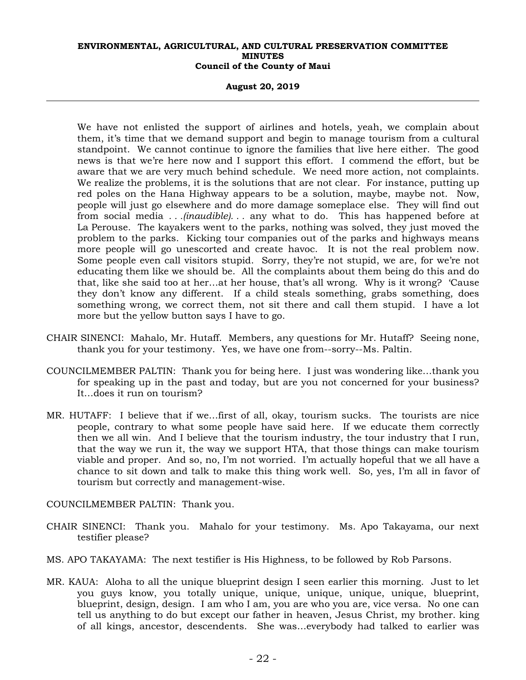#### **August 20, 2019**

We have not enlisted the support of airlines and hotels, yeah, we complain about them, it's time that we demand support and begin to manage tourism from a cultural standpoint. We cannot continue to ignore the families that live here either. The good news is that we're here now and I support this effort. I commend the effort, but be aware that we are very much behind schedule. We need more action, not complaints. We realize the problems, it is the solutions that are not clear. For instance, putting up red poles on the Hana Highway appears to be a solution, maybe, maybe not. Now, people will just go elsewhere and do more damage someplace else. They will find out from social media *. . .(inaudible). . .* any what to do. This has happened before at La Perouse. The kayakers went to the parks, nothing was solved, they just moved the problem to the parks. Kicking tour companies out of the parks and highways means more people will go unescorted and create havoc. It is not the real problem now. Some people even call visitors stupid. Sorry, they're not stupid, we are, for we're not educating them like we should be. All the complaints about them being do this and do that, like she said too at her…at her house, that's all wrong. Why is it wrong? 'Cause they don't know any different. If a child steals something, grabs something, does something wrong, we correct them, not sit there and call them stupid. I have a lot more but the yellow button says I have to go.

- CHAIR SINENCI: Mahalo, Mr. Hutaff. Members, any questions for Mr. Hutaff? Seeing none, thank you for your testimony. Yes, we have one from--sorry--Ms. Paltin.
- COUNCILMEMBER PALTIN: Thank you for being here. I just was wondering like…thank you for speaking up in the past and today, but are you not concerned for your business? It…does it run on tourism?
- MR. HUTAFF: I believe that if we…first of all, okay, tourism sucks. The tourists are nice people, contrary to what some people have said here. If we educate them correctly then we all win. And I believe that the tourism industry, the tour industry that I run, that the way we run it, the way we support HTA, that those things can make tourism viable and proper. And so, no, I'm not worried. I'm actually hopeful that we all have a chance to sit down and talk to make this thing work well. So, yes, I'm all in favor of tourism but correctly and management-wise.

## COUNCILMEMBER PALTIN: Thank you.

- CHAIR SINENCI: Thank you. Mahalo for your testimony. Ms. Apo Takayama, our next testifier please?
- MS. APO TAKAYAMA: The next testifier is His Highness, to be followed by Rob Parsons.
- MR. KAUA: Aloha to all the unique blueprint design I seen earlier this morning. Just to let you guys know, you totally unique, unique, unique, unique, unique, blueprint, blueprint, design, design. I am who I am, you are who you are, vice versa. No one can tell us anything to do but except our father in heaven, Jesus Christ, my brother. king of all kings, ancestor, descendents. She was…everybody had talked to earlier was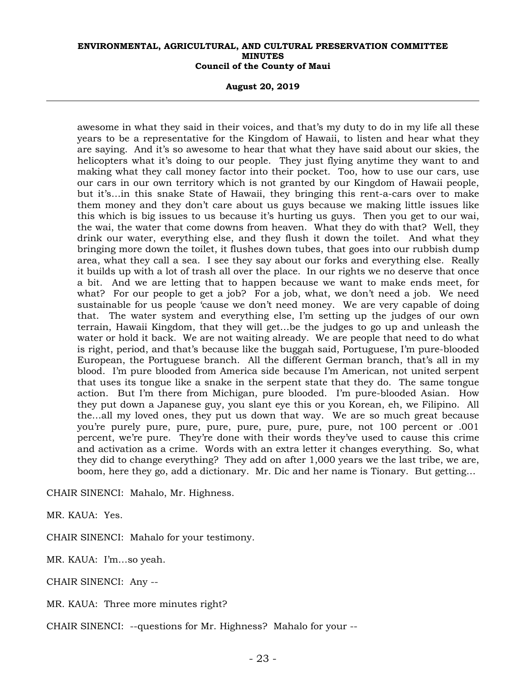**August 20, 2019** 

awesome in what they said in their voices, and that's my duty to do in my life all these years to be a representative for the Kingdom of Hawaii, to listen and hear what they are saying. And it's so awesome to hear that what they have said about our skies, the helicopters what it's doing to our people. They just flying anytime they want to and making what they call money factor into their pocket. Too, how to use our cars, use our cars in our own territory which is not granted by our Kingdom of Hawaii people, but it's…in this snake State of Hawaii, they bringing this rent-a-cars over to make them money and they don't care about us guys because we making little issues like this which is big issues to us because it's hurting us guys. Then you get to our wai, the wai, the water that come downs from heaven. What they do with that? Well, they drink our water, everything else, and they flush it down the toilet. And what they bringing more down the toilet, it flushes down tubes, that goes into our rubbish dump area, what they call a sea. I see they say about our forks and everything else. Really it builds up with a lot of trash all over the place. In our rights we no deserve that once a bit. And we are letting that to happen because we want to make ends meet, for what? For our people to get a job? For a job, what, we don't need a job. We need sustainable for us people 'cause we don't need money. We are very capable of doing that. The water system and everything else, I'm setting up the judges of our own terrain, Hawaii Kingdom, that they will get…be the judges to go up and unleash the water or hold it back. We are not waiting already. We are people that need to do what is right, period, and that's because like the buggah said, Portuguese, I'm pure-blooded European, the Portuguese branch. All the different German branch, that's all in my blood. I'm pure blooded from America side because I'm American, not united serpent that uses its tongue like a snake in the serpent state that they do. The same tongue action. But I'm there from Michigan, pure blooded. I'm pure-blooded Asian. How they put down a Japanese guy, you slant eye this or you Korean, eh, we Filipino. All the…all my loved ones, they put us down that way. We are so much great because you're purely pure, pure, pure, pure, pure, pure, pure, not 100 percent or .001 percent, we're pure. They're done with their words they've used to cause this crime and activation as a crime. Words with an extra letter it changes everything. So, what they did to change everything? They add on after 1,000 years we the last tribe, we are, boom, here they go, add a dictionary. Mr. Dic and her name is Tionary. But getting…

CHAIR SINENCI: Mahalo, Mr. Highness.

MR. KAUA: Yes.

CHAIR SINENCI: Mahalo for your testimony.

MR. KAUA: I'm…so yeah.

CHAIR SINENCI: Any --

MR. KAUA: Three more minutes right?

CHAIR SINENCI: --questions for Mr. Highness? Mahalo for your --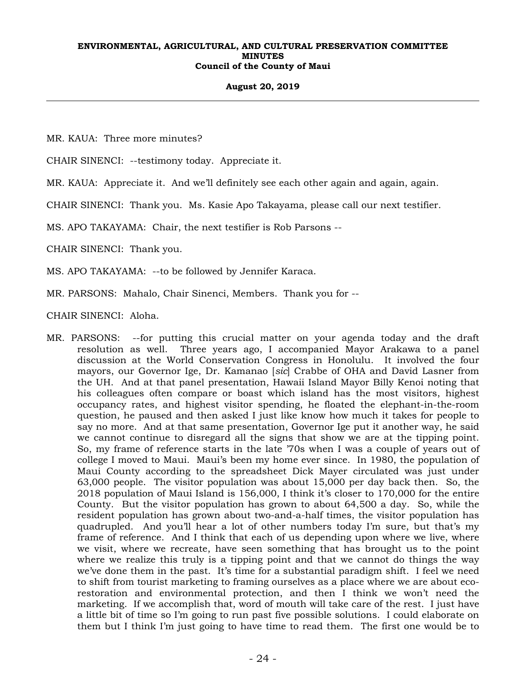### **August 20, 2019**

MR. KAUA: Three more minutes?

CHAIR SINENCI: --testimony today. Appreciate it.

MR. KAUA: Appreciate it. And we'll definitely see each other again and again, again.

CHAIR SINENCI: Thank you. Ms. Kasie Apo Takayama, please call our next testifier.

MS. APO TAKAYAMA: Chair, the next testifier is Rob Parsons --

CHAIR SINENCI: Thank you.

MS. APO TAKAYAMA: --to be followed by Jennifer Karaca.

MR. PARSONS: Mahalo, Chair Sinenci, Members. Thank you for --

CHAIR SINENCI: Aloha.

MR. PARSONS: --for putting this crucial matter on your agenda today and the draft resolution as well. Three years ago, I accompanied Mayor Arakawa to a panel discussion at the World Conservation Congress in Honolulu. It involved the four mayors, our Governor Ige, Dr. Kamanao [*sic*] Crabbe of OHA and David Lasner from the UH. And at that panel presentation, Hawaii Island Mayor Billy Kenoi noting that his colleagues often compare or boast which island has the most visitors, highest occupancy rates, and highest visitor spending, he floated the elephant-in-the-room question, he paused and then asked I just like know how much it takes for people to say no more. And at that same presentation, Governor Ige put it another way, he said we cannot continue to disregard all the signs that show we are at the tipping point. So, my frame of reference starts in the late '70s when I was a couple of years out of college I moved to Maui. Maui's been my home ever since. In 1980, the population of Maui County according to the spreadsheet Dick Mayer circulated was just under 63,000 people. The visitor population was about 15,000 per day back then. So, the 2018 population of Maui Island is 156,000, I think it's closer to 170,000 for the entire County. But the visitor population has grown to about 64,500 a day. So, while the resident population has grown about two-and-a-half times, the visitor population has quadrupled. And you'll hear a lot of other numbers today I'm sure, but that's my frame of reference. And I think that each of us depending upon where we live, where we visit, where we recreate, have seen something that has brought us to the point where we realize this truly is a tipping point and that we cannot do things the way we've done them in the past. It's time for a substantial paradigm shift. I feel we need to shift from tourist marketing to framing ourselves as a place where we are about ecorestoration and environmental protection, and then I think we won't need the marketing. If we accomplish that, word of mouth will take care of the rest. I just have a little bit of time so I'm going to run past five possible solutions. I could elaborate on them but I think I'm just going to have time to read them. The first one would be to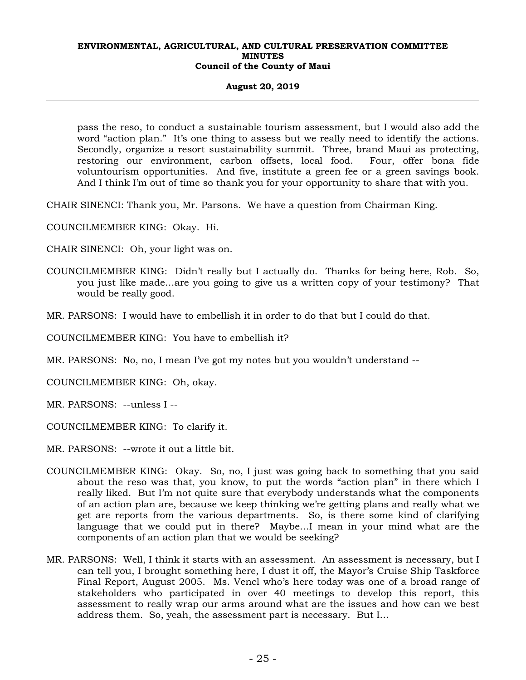## **August 20, 2019**

pass the reso, to conduct a sustainable tourism assessment, but I would also add the word "action plan." It's one thing to assess but we really need to identify the actions. Secondly, organize a resort sustainability summit. Three, brand Maui as protecting, restoring our environment, carbon offsets, local food. Four, offer bona fide voluntourism opportunities. And five, institute a green fee or a green savings book. And I think I'm out of time so thank you for your opportunity to share that with you.

CHAIR SINENCI: Thank you, Mr. Parsons. We have a question from Chairman King.

COUNCILMEMBER KING: Okay. Hi.

CHAIR SINENCI: Oh, your light was on.

- COUNCILMEMBER KING: Didn't really but I actually do. Thanks for being here, Rob. So, you just like made…are you going to give us a written copy of your testimony? That would be really good.
- MR. PARSONS: I would have to embellish it in order to do that but I could do that.

COUNCILMEMBER KING: You have to embellish it?

MR. PARSONS: No, no, I mean I've got my notes but you wouldn't understand --

COUNCILMEMBER KING: Oh, okay.

MR. PARSONS: --unless I --

COUNCILMEMBER KING: To clarify it.

MR. PARSONS: --wrote it out a little bit.

- COUNCILMEMBER KING: Okay. So, no, I just was going back to something that you said about the reso was that, you know, to put the words "action plan" in there which I really liked. But I'm not quite sure that everybody understands what the components of an action plan are, because we keep thinking we're getting plans and really what we get are reports from the various departments. So, is there some kind of clarifying language that we could put in there? Maybe…I mean in your mind what are the components of an action plan that we would be seeking?
- MR. PARSONS: Well, I think it starts with an assessment. An assessment is necessary, but I can tell you, I brought something here, I dust it off, the Mayor's Cruise Ship Taskforce Final Report, August 2005. Ms. Vencl who's here today was one of a broad range of stakeholders who participated in over 40 meetings to develop this report, this assessment to really wrap our arms around what are the issues and how can we best address them. So, yeah, the assessment part is necessary. But I…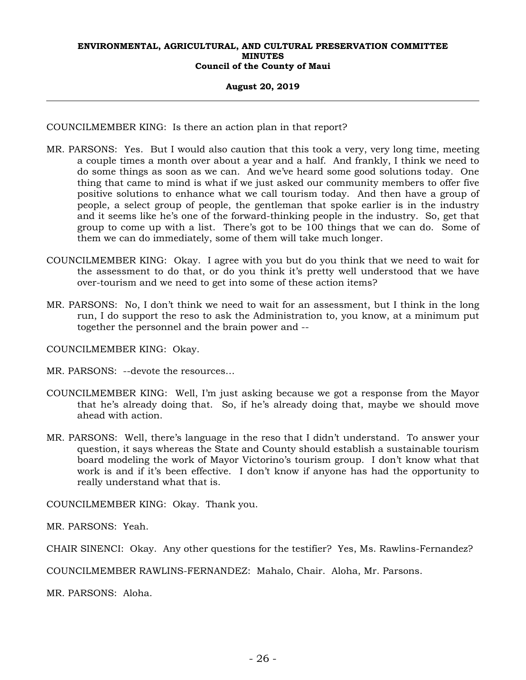## **August 20, 2019**

COUNCILMEMBER KING: Is there an action plan in that report?

- MR. PARSONS: Yes. But I would also caution that this took a very, very long time, meeting a couple times a month over about a year and a half. And frankly, I think we need to do some things as soon as we can. And we've heard some good solutions today. One thing that came to mind is what if we just asked our community members to offer five positive solutions to enhance what we call tourism today. And then have a group of people, a select group of people, the gentleman that spoke earlier is in the industry and it seems like he's one of the forward-thinking people in the industry. So, get that group to come up with a list. There's got to be 100 things that we can do. Some of them we can do immediately, some of them will take much longer.
- COUNCILMEMBER KING: Okay. I agree with you but do you think that we need to wait for the assessment to do that, or do you think it's pretty well understood that we have over-tourism and we need to get into some of these action items?
- MR. PARSONS: No, I don't think we need to wait for an assessment, but I think in the long run, I do support the reso to ask the Administration to, you know, at a minimum put together the personnel and the brain power and --

COUNCILMEMBER KING: Okay.

MR. PARSONS: --devote the resources…

- COUNCILMEMBER KING: Well, I'm just asking because we got a response from the Mayor that he's already doing that. So, if he's already doing that, maybe we should move ahead with action.
- MR. PARSONS: Well, there's language in the reso that I didn't understand. To answer your question, it says whereas the State and County should establish a sustainable tourism board modeling the work of Mayor Victorino's tourism group. I don't know what that work is and if it's been effective. I don't know if anyone has had the opportunity to really understand what that is.

COUNCILMEMBER KING: Okay. Thank you.

MR. PARSONS: Yeah.

CHAIR SINENCI: Okay. Any other questions for the testifier? Yes, Ms. Rawlins-Fernandez?

COUNCILMEMBER RAWLINS-FERNANDEZ: Mahalo, Chair. Aloha, Mr. Parsons.

MR. PARSONS: Aloha.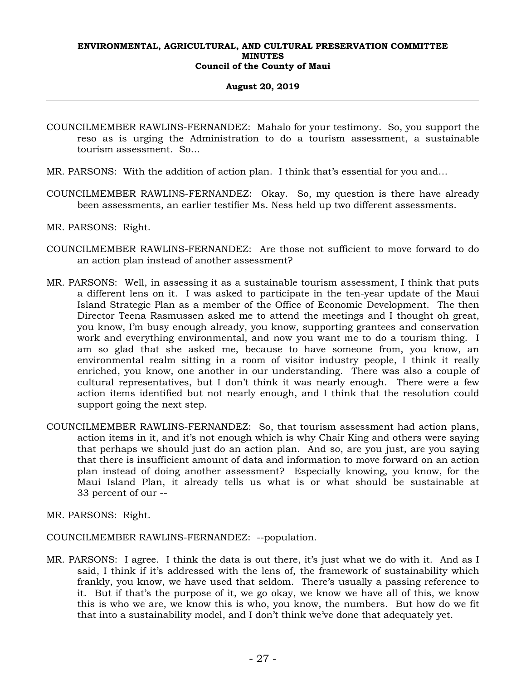## **August 20, 2019**

- COUNCILMEMBER RAWLINS-FERNANDEZ: Mahalo for your testimony. So, you support the reso as is urging the Administration to do a tourism assessment, a sustainable tourism assessment. So…
- MR. PARSONS: With the addition of action plan. I think that's essential for you and…
- COUNCILMEMBER RAWLINS-FERNANDEZ: Okay. So, my question is there have already been assessments, an earlier testifier Ms. Ness held up two different assessments.
- MR. PARSONS: Right.
- COUNCILMEMBER RAWLINS-FERNANDEZ: Are those not sufficient to move forward to do an action plan instead of another assessment?
- MR. PARSONS: Well, in assessing it as a sustainable tourism assessment, I think that puts a different lens on it. I was asked to participate in the ten-year update of the Maui Island Strategic Plan as a member of the Office of Economic Development. The then Director Teena Rasmussen asked me to attend the meetings and I thought oh great, you know, I'm busy enough already, you know, supporting grantees and conservation work and everything environmental, and now you want me to do a tourism thing. I am so glad that she asked me, because to have someone from, you know, an environmental realm sitting in a room of visitor industry people, I think it really enriched, you know, one another in our understanding. There was also a couple of cultural representatives, but I don't think it was nearly enough. There were a few action items identified but not nearly enough, and I think that the resolution could support going the next step.
- COUNCILMEMBER RAWLINS-FERNANDEZ: So, that tourism assessment had action plans, action items in it, and it's not enough which is why Chair King and others were saying that perhaps we should just do an action plan. And so, are you just, are you saying that there is insufficient amount of data and information to move forward on an action plan instead of doing another assessment? Especially knowing, you know, for the Maui Island Plan, it already tells us what is or what should be sustainable at 33 percent of our --
- MR. PARSONS: Right.
- COUNCILMEMBER RAWLINS-FERNANDEZ: --population.
- MR. PARSONS: I agree. I think the data is out there, it's just what we do with it. And as I said, I think if it's addressed with the lens of, the framework of sustainability which frankly, you know, we have used that seldom. There's usually a passing reference to it. But if that's the purpose of it, we go okay, we know we have all of this, we know this is who we are, we know this is who, you know, the numbers. But how do we fit that into a sustainability model, and I don't think we've done that adequately yet.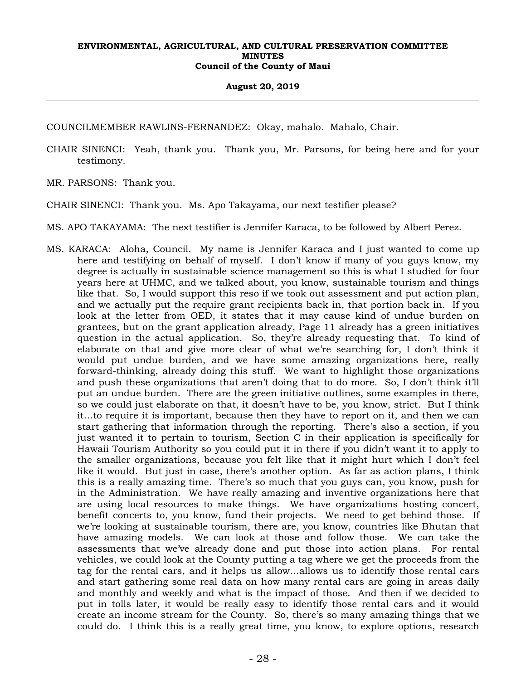#### **August 20, 2019**

COUNCILMEMBER RAWLINS-FERNANDEZ: Okay, mahalo. Mahalo, Chair.

- CHAIR SINENCI: Yeah, thank you. Thank you, Mr. Parsons, for being here and for your testimony.
- MR. PARSONS: Thank you.
- CHAIR SINENCI: Thank you. Ms. Apo Takayama, our next testifier please?
- MS. APO TAKAYAMA: The next testifier is Jennifer Karaca, to be followed by Albert Perez.
- MS. KARACA: Aloha, Council. My name is Jennifer Karaca and I just wanted to come up here and testifying on behalf of myself. I don't know if many of you guys know, my degree is actually in sustainable science management so this is what I studied for four years here at UHMC, and we talked about, you know, sustainable tourism and things like that. So, I would support this reso if we took out assessment and put action plan, and we actually put the require grant recipients back in, that portion back in. If you look at the letter from OED, it states that it may cause kind of undue burden on grantees, but on the grant application already, Page 11 already has a green initiatives question in the actual application. So, they're already requesting that. To kind of elaborate on that and give more clear of what we're searching for, I don't think it would put undue burden, and we have some amazing organizations here, really forward-thinking, already doing this stuff. We want to highlight those organizations and push these organizations that aren't doing that to do more. So, I don't think it'll put an undue burden. There are the green initiative outlines, some examples in there, so we could just elaborate on that, it doesn't have to be, you know, strict. But I think it…to require it is important, because then they have to report on it, and then we can start gathering that information through the reporting. There's also a section, if you just wanted it to pertain to tourism, Section C in their application is specifically for Hawaii Tourism Authority so you could put it in there if you didn't want it to apply to the smaller organizations, because you felt like that it might hurt which I don't feel like it would. But just in case, there's another option. As far as action plans, I think this is a really amazing time. There's so much that you guys can, you know, push for in the Administration. We have really amazing and inventive organizations here that are using local resources to make things. We have organizations hosting concert, benefit concerts to, you know, fund their projects. We need to get behind those. If we're looking at sustainable tourism, there are, you know, countries like Bhutan that have amazing models. We can look at those and follow those. We can take the assessments that we've already done and put those into action plans. For rental vehicles, we could look at the County putting a tag where we get the proceeds from the tag for the rental cars, and it helps us allow…allows us to identify those rental cars and start gathering some real data on how many rental cars are going in areas daily and monthly and weekly and what is the impact of those. And then if we decided to put in tolls later, it would be really easy to identify those rental cars and it would create an income stream for the County. So, there's so many amazing things that we could do. I think this is a really great time, you know, to explore options, research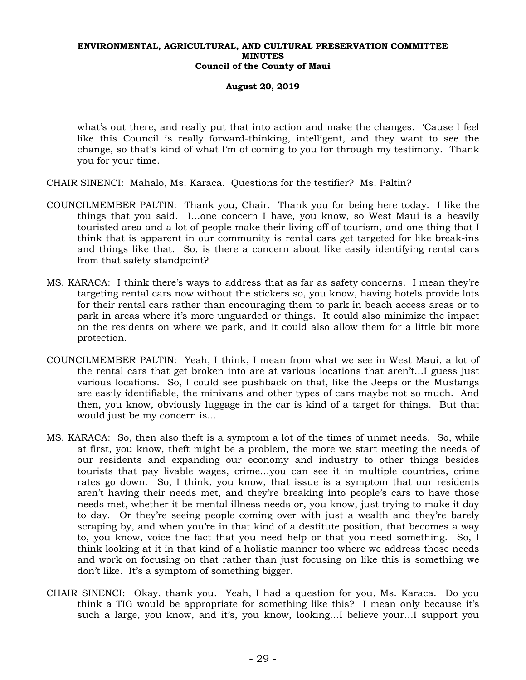## **August 20, 2019**

what's out there, and really put that into action and make the changes. 'Cause I feel like this Council is really forward-thinking, intelligent, and they want to see the change, so that's kind of what I'm of coming to you for through my testimony. Thank you for your time.

CHAIR SINENCI: Mahalo, Ms. Karaca. Questions for the testifier? Ms. Paltin?

- COUNCILMEMBER PALTIN: Thank you, Chair. Thank you for being here today. I like the things that you said. I…one concern I have, you know, so West Maui is a heavily touristed area and a lot of people make their living off of tourism, and one thing that I think that is apparent in our community is rental cars get targeted for like break-ins and things like that. So, is there a concern about like easily identifying rental cars from that safety standpoint?
- MS. KARACA: I think there's ways to address that as far as safety concerns. I mean they're targeting rental cars now without the stickers so, you know, having hotels provide lots for their rental cars rather than encouraging them to park in beach access areas or to park in areas where it's more unguarded or things. It could also minimize the impact on the residents on where we park, and it could also allow them for a little bit more protection.
- COUNCILMEMBER PALTIN: Yeah, I think, I mean from what we see in West Maui, a lot of the rental cars that get broken into are at various locations that aren't…I guess just various locations. So, I could see pushback on that, like the Jeeps or the Mustangs are easily identifiable, the minivans and other types of cars maybe not so much. And then, you know, obviously luggage in the car is kind of a target for things. But that would just be my concern is…
- MS. KARACA: So, then also theft is a symptom a lot of the times of unmet needs. So, while at first, you know, theft might be a problem, the more we start meeting the needs of our residents and expanding our economy and industry to other things besides tourists that pay livable wages, crime…you can see it in multiple countries, crime rates go down. So, I think, you know, that issue is a symptom that our residents aren't having their needs met, and they're breaking into people's cars to have those needs met, whether it be mental illness needs or, you know, just trying to make it day to day. Or they're seeing people coming over with just a wealth and they're barely scraping by, and when you're in that kind of a destitute position, that becomes a way to, you know, voice the fact that you need help or that you need something. So, I think looking at it in that kind of a holistic manner too where we address those needs and work on focusing on that rather than just focusing on like this is something we don't like. It's a symptom of something bigger.
- CHAIR SINENCI: Okay, thank you. Yeah, I had a question for you, Ms. Karaca. Do you think a TIG would be appropriate for something like this? I mean only because it's such a large, you know, and it's, you know, looking…I believe your…I support you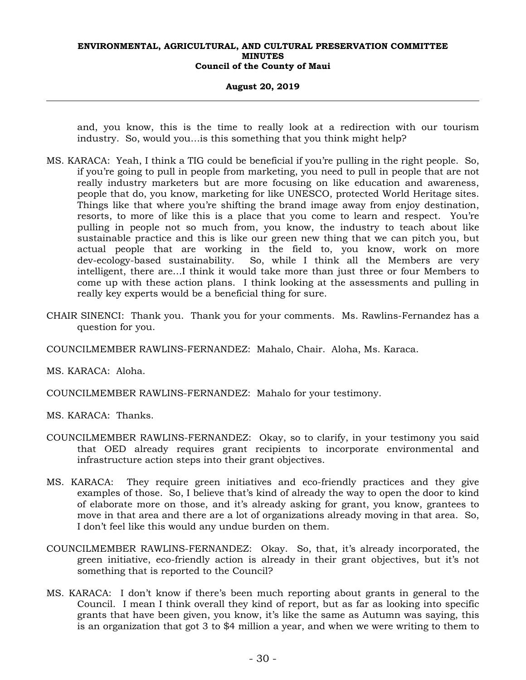#### **August 20, 2019**

and, you know, this is the time to really look at a redirection with our tourism industry. So, would you…is this something that you think might help?

- MS. KARACA: Yeah, I think a TIG could be beneficial if you're pulling in the right people. So, if you're going to pull in people from marketing, you need to pull in people that are not really industry marketers but are more focusing on like education and awareness, people that do, you know, marketing for like UNESCO, protected World Heritage sites. Things like that where you're shifting the brand image away from enjoy destination, resorts, to more of like this is a place that you come to learn and respect. You're pulling in people not so much from, you know, the industry to teach about like sustainable practice and this is like our green new thing that we can pitch you, but actual people that are working in the field to, you know, work on more dev-ecology-based sustainability. So, while I think all the Members are very intelligent, there are…I think it would take more than just three or four Members to come up with these action plans. I think looking at the assessments and pulling in really key experts would be a beneficial thing for sure.
- CHAIR SINENCI: Thank you. Thank you for your comments. Ms. Rawlins-Fernandez has a question for you.
- COUNCILMEMBER RAWLINS-FERNANDEZ: Mahalo, Chair. Aloha, Ms. Karaca.

MS. KARACA: Aloha.

COUNCILMEMBER RAWLINS-FERNANDEZ: Mahalo for your testimony.

MS. KARACA: Thanks.

- COUNCILMEMBER RAWLINS-FERNANDEZ: Okay, so to clarify, in your testimony you said that OED already requires grant recipients to incorporate environmental and infrastructure action steps into their grant objectives.
- MS. KARACA: They require green initiatives and eco-friendly practices and they give examples of those. So, I believe that's kind of already the way to open the door to kind of elaborate more on those, and it's already asking for grant, you know, grantees to move in that area and there are a lot of organizations already moving in that area. So, I don't feel like this would any undue burden on them.
- COUNCILMEMBER RAWLINS-FERNANDEZ: Okay. So, that, it's already incorporated, the green initiative, eco-friendly action is already in their grant objectives, but it's not something that is reported to the Council?
- MS. KARACA: I don't know if there's been much reporting about grants in general to the Council. I mean I think overall they kind of report, but as far as looking into specific grants that have been given, you know, it's like the same as Autumn was saying, this is an organization that got 3 to \$4 million a year, and when we were writing to them to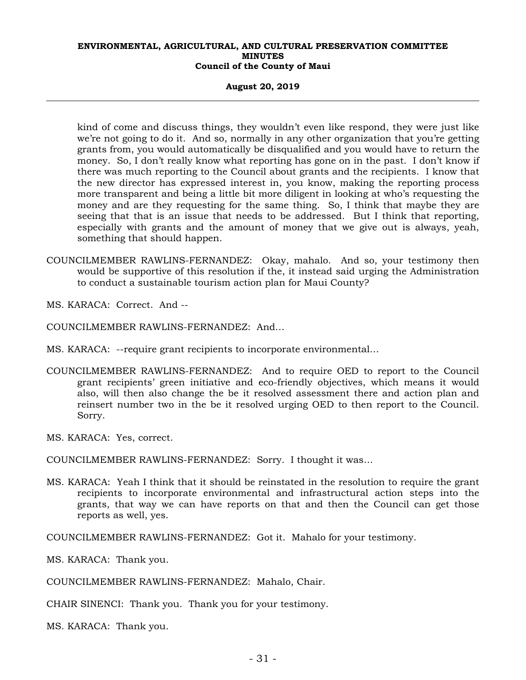**August 20, 2019** 

kind of come and discuss things, they wouldn't even like respond, they were just like we're not going to do it. And so, normally in any other organization that you're getting grants from, you would automatically be disqualified and you would have to return the money. So, I don't really know what reporting has gone on in the past. I don't know if there was much reporting to the Council about grants and the recipients. I know that the new director has expressed interest in, you know, making the reporting process more transparent and being a little bit more diligent in looking at who's requesting the money and are they requesting for the same thing. So, I think that maybe they are seeing that that is an issue that needs to be addressed. But I think that reporting, especially with grants and the amount of money that we give out is always, yeah, something that should happen.

COUNCILMEMBER RAWLINS-FERNANDEZ: Okay, mahalo. And so, your testimony then would be supportive of this resolution if the, it instead said urging the Administration to conduct a sustainable tourism action plan for Maui County?

MS. KARACA: Correct. And --

COUNCILMEMBER RAWLINS-FERNANDEZ: And…

- MS. KARACA: --require grant recipients to incorporate environmental…
- COUNCILMEMBER RAWLINS-FERNANDEZ: And to require OED to report to the Council grant recipients' green initiative and eco-friendly objectives, which means it would also, will then also change the be it resolved assessment there and action plan and reinsert number two in the be it resolved urging OED to then report to the Council. Sorry.

MS. KARACA: Yes, correct.

COUNCILMEMBER RAWLINS-FERNANDEZ: Sorry. I thought it was…

MS. KARACA: Yeah I think that it should be reinstated in the resolution to require the grant recipients to incorporate environmental and infrastructural action steps into the grants, that way we can have reports on that and then the Council can get those reports as well, yes.

COUNCILMEMBER RAWLINS-FERNANDEZ: Got it. Mahalo for your testimony.

MS. KARACA: Thank you.

COUNCILMEMBER RAWLINS-FERNANDEZ: Mahalo, Chair.

CHAIR SINENCI: Thank you. Thank you for your testimony.

MS. KARACA: Thank you.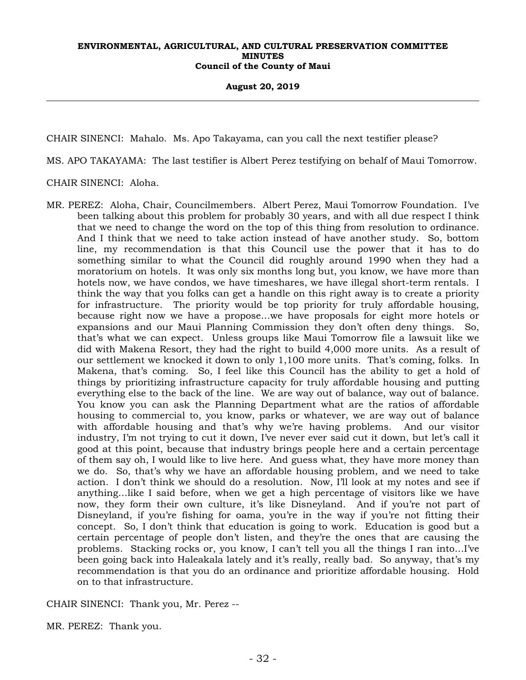**August 20, 2019** 

CHAIR SINENCI: Mahalo. Ms. Apo Takayama, can you call the next testifier please?

MS. APO TAKAYAMA: The last testifier is Albert Perez testifying on behalf of Maui Tomorrow.

## CHAIR SINENCI: Aloha.

MR. PEREZ: Aloha, Chair, Councilmembers. Albert Perez, Maui Tomorrow Foundation. I've been talking about this problem for probably 30 years, and with all due respect I think that we need to change the word on the top of this thing from resolution to ordinance. And I think that we need to take action instead of have another study. So, bottom line, my recommendation is that this Council use the power that it has to do something similar to what the Council did roughly around 1990 when they had a moratorium on hotels. It was only six months long but, you know, we have more than hotels now, we have condos, we have timeshares, we have illegal short-term rentals. I think the way that you folks can get a handle on this right away is to create a priority for infrastructure. The priority would be top priority for truly affordable housing, because right now we have a propose…we have proposals for eight more hotels or expansions and our Maui Planning Commission they don't often deny things. So, that's what we can expect. Unless groups like Maui Tomorrow file a lawsuit like we did with Makena Resort, they had the right to build 4,000 more units. As a result of our settlement we knocked it down to only 1,100 more units. That's coming, folks. In Makena, that's coming. So, I feel like this Council has the ability to get a hold of things by prioritizing infrastructure capacity for truly affordable housing and putting everything else to the back of the line. We are way out of balance, way out of balance. You know you can ask the Planning Department what are the ratios of affordable housing to commercial to, you know, parks or whatever, we are way out of balance with affordable housing and that's why we're having problems. And our visitor industry, I'm not trying to cut it down, I've never ever said cut it down, but let's call it good at this point, because that industry brings people here and a certain percentage of them say oh, I would like to live here. And guess what, they have more money than we do. So, that's why we have an affordable housing problem, and we need to take action. I don't think we should do a resolution. Now, I'll look at my notes and see if anything…like I said before, when we get a high percentage of visitors like we have now, they form their own culture, it's like Disneyland. And if you're not part of Disneyland, if you're fishing for oama, you're in the way if you're not fitting their concept. So, I don't think that education is going to work. Education is good but a certain percentage of people don't listen, and they're the ones that are causing the problems. Stacking rocks or, you know, I can't tell you all the things I ran into…I've been going back into Haleakala lately and it's really, really bad. So anyway, that's my recommendation is that you do an ordinance and prioritize affordable housing. Hold on to that infrastructure.

CHAIR SINENCI: Thank you, Mr. Perez --

MR. PEREZ: Thank you.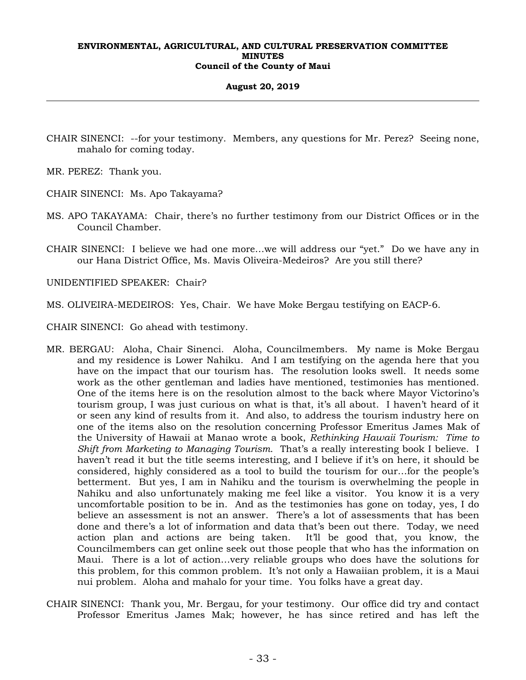#### **August 20, 2019**

- CHAIR SINENCI: --for your testimony. Members, any questions for Mr. Perez? Seeing none, mahalo for coming today.
- MR. PEREZ: Thank you.
- CHAIR SINENCI: Ms. Apo Takayama?
- MS. APO TAKAYAMA: Chair, there's no further testimony from our District Offices or in the Council Chamber.
- CHAIR SINENCI: I believe we had one more…we will address our "yet." Do we have any in our Hana District Office, Ms. Mavis Oliveira-Medeiros? Are you still there?

UNIDENTIFIED SPEAKER: Chair?

MS. OLIVEIRA-MEDEIROS: Yes, Chair. We have Moke Bergau testifying on EACP-6.

- CHAIR SINENCI: Go ahead with testimony.
- MR. BERGAU: Aloha, Chair Sinenci. Aloha, Councilmembers. My name is Moke Bergau and my residence is Lower Nahiku. And I am testifying on the agenda here that you have on the impact that our tourism has. The resolution looks swell. It needs some work as the other gentleman and ladies have mentioned, testimonies has mentioned. One of the items here is on the resolution almost to the back where Mayor Victorino's tourism group, I was just curious on what is that, it's all about. I haven't heard of it or seen any kind of results from it. And also, to address the tourism industry here on one of the items also on the resolution concerning Professor Emeritus James Mak of the University of Hawaii at Manao wrote a book, *Rethinking Hawaii Tourism: Time to Shift from Marketing to Managing Tourism*. That's a really interesting book I believe. I haven't read it but the title seems interesting, and I believe if it's on here, it should be considered, highly considered as a tool to build the tourism for our…for the people's betterment. But yes, I am in Nahiku and the tourism is overwhelming the people in Nahiku and also unfortunately making me feel like a visitor. You know it is a very uncomfortable position to be in. And as the testimonies has gone on today, yes, I do believe an assessment is not an answer. There's a lot of assessments that has been done and there's a lot of information and data that's been out there. Today, we need action plan and actions are being taken. It'll be good that, you know, the Councilmembers can get online seek out those people that who has the information on Maui. There is a lot of action…very reliable groups who does have the solutions for this problem, for this common problem. It's not only a Hawaiian problem, it is a Maui nui problem. Aloha and mahalo for your time. You folks have a great day.
- CHAIR SINENCI: Thank you, Mr. Bergau, for your testimony. Our office did try and contact Professor Emeritus James Mak; however, he has since retired and has left the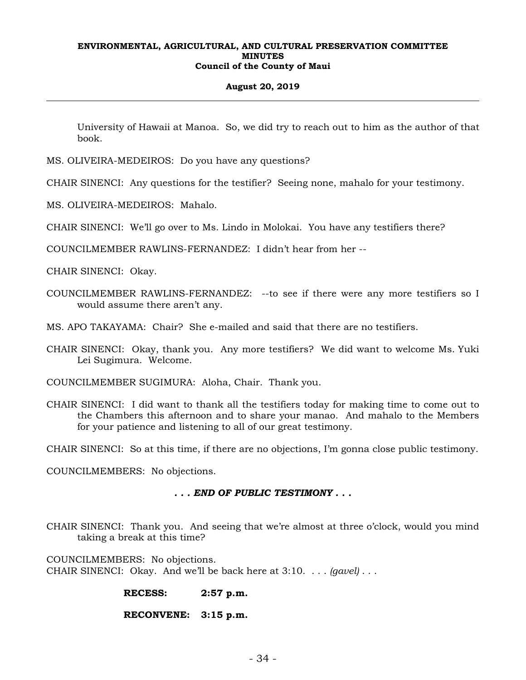## **August 20, 2019**

University of Hawaii at Manoa. So, we did try to reach out to him as the author of that book.

MS. OLIVEIRA-MEDEIROS: Do you have any questions?

CHAIR SINENCI: Any questions for the testifier? Seeing none, mahalo for your testimony.

MS. OLIVEIRA-MEDEIROS: Mahalo.

CHAIR SINENCI: We'll go over to Ms. Lindo in Molokai. You have any testifiers there?

COUNCILMEMBER RAWLINS-FERNANDEZ: I didn't hear from her --

CHAIR SINENCI: Okay.

COUNCILMEMBER RAWLINS-FERNANDEZ: --to see if there were any more testifiers so I would assume there aren't any.

MS. APO TAKAYAMA: Chair? She e-mailed and said that there are no testifiers.

CHAIR SINENCI: Okay, thank you. Any more testifiers? We did want to welcome Ms. Yuki Lei Sugimura. Welcome.

COUNCILMEMBER SUGIMURA: Aloha, Chair. Thank you.

CHAIR SINENCI: I did want to thank all the testifiers today for making time to come out to the Chambers this afternoon and to share your manao. And mahalo to the Members for your patience and listening to all of our great testimony.

CHAIR SINENCI: So at this time, if there are no objections, I'm gonna close public testimony.

COUNCILMEMBERS: No objections.

# *. . . END OF PUBLIC TESTIMONY . . .*

CHAIR SINENCI: Thank you. And seeing that we're almost at three o'clock, would you mind taking a break at this time?

COUNCILMEMBERS: No objections. CHAIR SINENCI: Okay. And we'll be back here at 3:10. . . . *(gavel)* . . .

# **RECESS: 2:57 p.m.**

## **RECONVENE: 3:15 p.m.**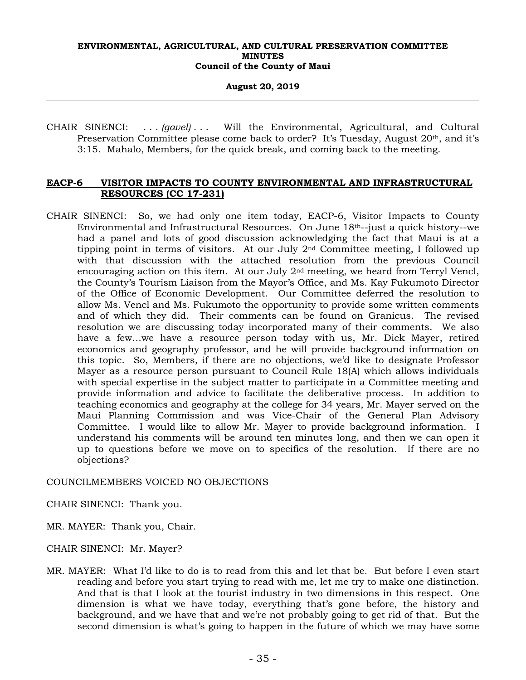**August 20, 2019** 

CHAIR SINENCI: . . . *(gavel)* . . . Will the Environmental, Agricultural, and Cultural Preservation Committee please come back to order? It's Tuesday, August 20th, and it's 3:15. Mahalo, Members, for the quick break, and coming back to the meeting.

# **EACP-6 VISITOR IMPACTS TO COUNTY ENVIRONMENTAL AND INFRASTRUCTURAL RESOURCES (CC 17-231)**

CHAIR SINENCI: So, we had only one item today, EACP-6, Visitor Impacts to County Environmental and Infrastructural Resources. On June 18th--just a quick history--we had a panel and lots of good discussion acknowledging the fact that Maui is at a tipping point in terms of visitors. At our July 2nd Committee meeting, I followed up with that discussion with the attached resolution from the previous Council encouraging action on this item. At our July  $2<sup>nd</sup>$  meeting, we heard from Terryl Vencl, the County's Tourism Liaison from the Mayor's Office, and Ms. Kay Fukumoto Director of the Office of Economic Development. Our Committee deferred the resolution to allow Ms. Vencl and Ms. Fukumoto the opportunity to provide some written comments and of which they did. Their comments can be found on Granicus. The revised resolution we are discussing today incorporated many of their comments. We also have a few…we have a resource person today with us, Mr. Dick Mayer, retired economics and geography professor, and he will provide background information on this topic. So, Members, if there are no objections, we'd like to designate Professor Mayer as a resource person pursuant to Council Rule 18(A) which allows individuals with special expertise in the subject matter to participate in a Committee meeting and provide information and advice to facilitate the deliberative process. In addition to teaching economics and geography at the college for 34 years, Mr. Mayer served on the Maui Planning Commission and was Vice-Chair of the General Plan Advisory Committee. I would like to allow Mr. Mayer to provide background information. I understand his comments will be around ten minutes long, and then we can open it up to questions before we move on to specifics of the resolution. If there are no objections?

# COUNCILMEMBERS VOICED NO OBJECTIONS

CHAIR SINENCI: Thank you.

- MR. MAYER: Thank you, Chair.
- CHAIR SINENCI: Mr. Mayer?
- MR. MAYER: What I'd like to do is to read from this and let that be. But before I even start reading and before you start trying to read with me, let me try to make one distinction. And that is that I look at the tourist industry in two dimensions in this respect. One dimension is what we have today, everything that's gone before, the history and background, and we have that and we're not probably going to get rid of that. But the second dimension is what's going to happen in the future of which we may have some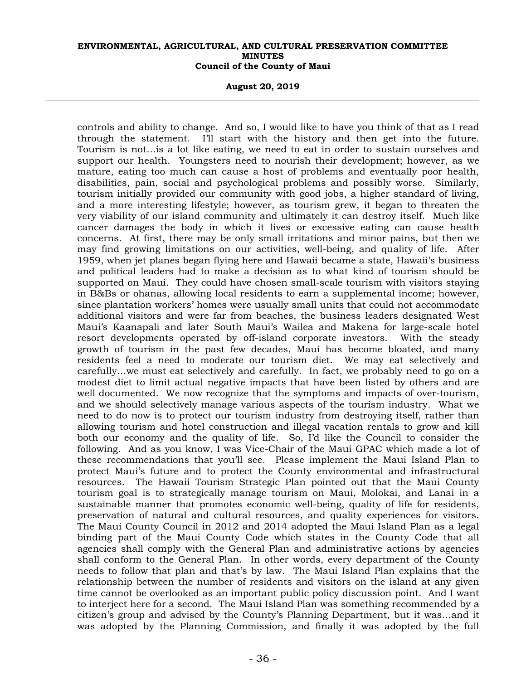**August 20, 2019** 

controls and ability to change. And so, I would like to have you think of that as I read through the statement. I'll start with the history and then get into the future. Tourism is not…is a lot like eating, we need to eat in order to sustain ourselves and support our health. Youngsters need to nourish their development; however, as we mature, eating too much can cause a host of problems and eventually poor health, disabilities, pain, social and psychological problems and possibly worse. Similarly, tourism initially provided our community with good jobs, a higher standard of living, and a more interesting lifestyle; however, as tourism grew, it began to threaten the very viability of our island community and ultimately it can destroy itself. Much like cancer damages the body in which it lives or excessive eating can cause health concerns. At first, there may be only small irritations and minor pains, but then we may find growing limitations on our activities, well-being, and quality of life. After 1959, when jet planes began flying here and Hawaii became a state, Hawaii's business and political leaders had to make a decision as to what kind of tourism should be supported on Maui. They could have chosen small-scale tourism with visitors staying in B&Bs or ohanas, allowing local residents to earn a supplemental income; however, since plantation workers' homes were usually small units that could not accommodate additional visitors and were far from beaches, the business leaders designated West Maui's Kaanapali and later South Maui's Wailea and Makena for large-scale hotel resort developments operated by off-island corporate investors. With the steady growth of tourism in the past few decades, Maui has become bloated, and many residents feel a need to moderate our tourism diet. We may eat selectively and carefully…we must eat selectively and carefully. In fact, we probably need to go on a modest diet to limit actual negative impacts that have been listed by others and are well documented. We now recognize that the symptoms and impacts of over-tourism, and we should selectively manage various aspects of the tourism industry. What we need to do now is to protect our tourism industry from destroying itself, rather than allowing tourism and hotel construction and illegal vacation rentals to grow and kill both our economy and the quality of life. So, I'd like the Council to consider the following. And as you know, I was Vice-Chair of the Maui GPAC which made a lot of these recommendations that you'll see. Please implement the Maui Island Plan to protect Maui's future and to protect the County environmental and infrastructural resources. The Hawaii Tourism Strategic Plan pointed out that the Maui County tourism goal is to strategically manage tourism on Maui, Molokai, and Lanai in a sustainable manner that promotes economic well-being, quality of life for residents, preservation of natural and cultural resources, and quality experiences for visitors. The Maui County Council in 2012 and 2014 adopted the Maui Island Plan as a legal binding part of the Maui County Code which states in the County Code that all agencies shall comply with the General Plan and administrative actions by agencies shall conform to the General Plan. In other words, every department of the County needs to follow that plan and that's by law. The Maui Island Plan explains that the relationship between the number of residents and visitors on the island at any given time cannot be overlooked as an important public policy discussion point. And I want to interject here for a second. The Maui Island Plan was something recommended by a citizen's group and advised by the County's Planning Department, but it was…and it was adopted by the Planning Commission, and finally it was adopted by the full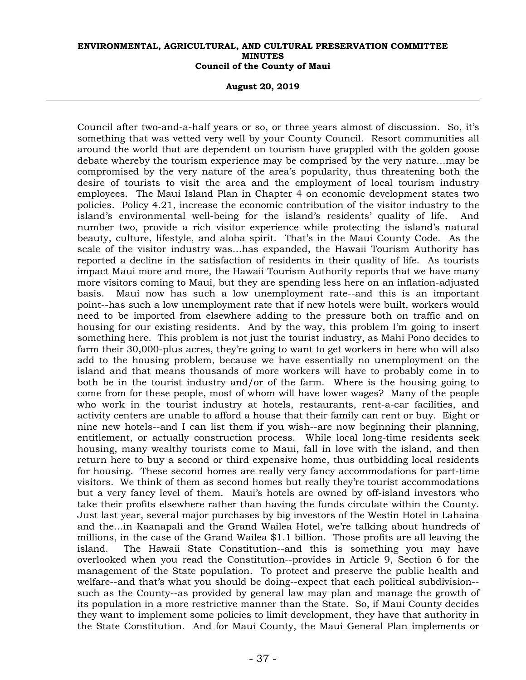**August 20, 2019** 

Council after two-and-a-half years or so, or three years almost of discussion. So, it's something that was vetted very well by your County Council. Resort communities all around the world that are dependent on tourism have grappled with the golden goose debate whereby the tourism experience may be comprised by the very nature…may be compromised by the very nature of the area's popularity, thus threatening both the desire of tourists to visit the area and the employment of local tourism industry employees. The Maui Island Plan in Chapter 4 on economic development states two policies. Policy 4.21, increase the economic contribution of the visitor industry to the island's environmental well-being for the island's residents' quality of life. And number two, provide a rich visitor experience while protecting the island's natural beauty, culture, lifestyle, and aloha spirit. That's in the Maui County Code. As the scale of the visitor industry was…has expanded, the Hawaii Tourism Authority has reported a decline in the satisfaction of residents in their quality of life. As tourists impact Maui more and more, the Hawaii Tourism Authority reports that we have many more visitors coming to Maui, but they are spending less here on an inflation-adjusted basis. Maui now has such a low unemployment rate--and this is an important point--has such a low unemployment rate that if new hotels were built, workers would need to be imported from elsewhere adding to the pressure both on traffic and on housing for our existing residents. And by the way, this problem I'm going to insert something here. This problem is not just the tourist industry, as Mahi Pono decides to farm their 30,000-plus acres, they're going to want to get workers in here who will also add to the housing problem, because we have essentially no unemployment on the island and that means thousands of more workers will have to probably come in to both be in the tourist industry and/or of the farm. Where is the housing going to come from for these people, most of whom will have lower wages? Many of the people who work in the tourist industry at hotels, restaurants, rent-a-car facilities, and activity centers are unable to afford a house that their family can rent or buy. Eight or nine new hotels--and I can list them if you wish--are now beginning their planning, entitlement, or actually construction process. While local long-time residents seek housing, many wealthy tourists come to Maui, fall in love with the island, and then return here to buy a second or third expensive home, thus outbidding local residents for housing. These second homes are really very fancy accommodations for part-time visitors. We think of them as second homes but really they're tourist accommodations but a very fancy level of them. Maui's hotels are owned by off-island investors who take their profits elsewhere rather than having the funds circulate within the County. Just last year, several major purchases by big investors of the Westin Hotel in Lahaina and the…in Kaanapali and the Grand Wailea Hotel, we're talking about hundreds of millions, in the case of the Grand Wailea \$1.1 billion. Those profits are all leaving the island. The Hawaii State Constitution--and this is something you may have overlooked when you read the Constitution--provides in Article 9, Section 6 for the management of the State population. To protect and preserve the public health and welfare--and that's what you should be doing--expect that each political subdivision- such as the County--as provided by general law may plan and manage the growth of its population in a more restrictive manner than the State. So, if Maui County decides they want to implement some policies to limit development, they have that authority in the State Constitution. And for Maui County, the Maui General Plan implements or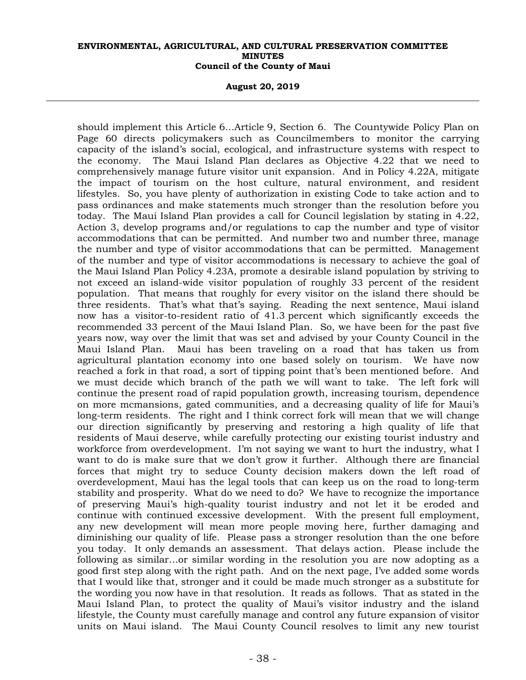**August 20, 2019** 

should implement this Article 6…Article 9, Section 6. The Countywide Policy Plan on Page 60 directs policymakers such as Councilmembers to monitor the carrying capacity of the island's social, ecological, and infrastructure systems with respect to the economy. The Maui Island Plan declares as Objective 4.22 that we need to comprehensively manage future visitor unit expansion. And in Policy 4.22A, mitigate the impact of tourism on the host culture, natural environment, and resident lifestyles. So, you have plenty of authorization in existing Code to take action and to pass ordinances and make statements much stronger than the resolution before you today. The Maui Island Plan provides a call for Council legislation by stating in 4.22, Action 3, develop programs and/or regulations to cap the number and type of visitor accommodations that can be permitted. And number two and number three, manage the number and type of visitor accommodations that can be permitted. Management of the number and type of visitor accommodations is necessary to achieve the goal of the Maui Island Plan Policy 4.23A, promote a desirable island population by striving to not exceed an island-wide visitor population of roughly 33 percent of the resident population. That means that roughly for every visitor on the island there should be three residents. That's what that's saying. Reading the next sentence, Maui island now has a visitor-to-resident ratio of 41.3 percent which significantly exceeds the recommended 33 percent of the Maui Island Plan. So, we have been for the past five years now, way over the limit that was set and advised by your County Council in the Maui Island Plan. Maui has been traveling on a road that has taken us from agricultural plantation economy into one based solely on tourism. We have now reached a fork in that road, a sort of tipping point that's been mentioned before. And we must decide which branch of the path we will want to take. The left fork will continue the present road of rapid population growth, increasing tourism, dependence on more mcmansions, gated communities, and a decreasing quality of life for Maui's long-term residents. The right and I think correct fork will mean that we will change our direction significantly by preserving and restoring a high quality of life that residents of Maui deserve, while carefully protecting our existing tourist industry and workforce from overdevelopment. I'm not saying we want to hurt the industry, what I want to do is make sure that we don't grow it further. Although there are financial forces that might try to seduce County decision makers down the left road of overdevelopment, Maui has the legal tools that can keep us on the road to long-term stability and prosperity. What do we need to do? We have to recognize the importance of preserving Maui's high-quality tourist industry and not let it be eroded and continue with continued excessive development. With the present full employment, any new development will mean more people moving here, further damaging and diminishing our quality of life. Please pass a stronger resolution than the one before you today. It only demands an assessment. That delays action. Please include the following as similar…or similar wording in the resolution you are now adopting as a good first step along with the right path. And on the next page, I've added some words that I would like that, stronger and it could be made much stronger as a substitute for the wording you now have in that resolution. It reads as follows. That as stated in the Maui Island Plan, to protect the quality of Maui's visitor industry and the island lifestyle, the County must carefully manage and control any future expansion of visitor units on Maui island. The Maui County Council resolves to limit any new tourist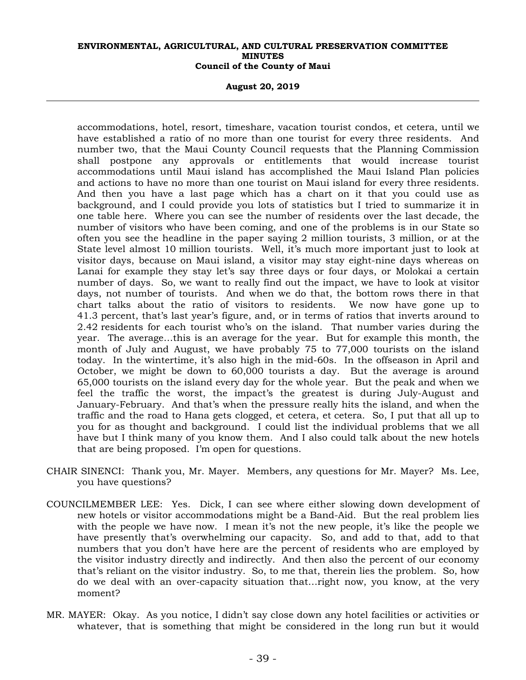**August 20, 2019** 

accommodations, hotel, resort, timeshare, vacation tourist condos, et cetera, until we have established a ratio of no more than one tourist for every three residents. And number two, that the Maui County Council requests that the Planning Commission shall postpone any approvals or entitlements that would increase tourist accommodations until Maui island has accomplished the Maui Island Plan policies and actions to have no more than one tourist on Maui island for every three residents. And then you have a last page which has a chart on it that you could use as background, and I could provide you lots of statistics but I tried to summarize it in one table here. Where you can see the number of residents over the last decade, the number of visitors who have been coming, and one of the problems is in our State so often you see the headline in the paper saying 2 million tourists, 3 million, or at the State level almost 10 million tourists. Well, it's much more important just to look at visitor days, because on Maui island, a visitor may stay eight-nine days whereas on Lanai for example they stay let's say three days or four days, or Molokai a certain number of days. So, we want to really find out the impact, we have to look at visitor days, not number of tourists. And when we do that, the bottom rows there in that chart talks about the ratio of visitors to residents. We now have gone up to 41.3 percent, that's last year's figure, and, or in terms of ratios that inverts around to 2.42 residents for each tourist who's on the island. That number varies during the year. The average…this is an average for the year. But for example this month, the month of July and August, we have probably 75 to 77,000 tourists on the island today. In the wintertime, it's also high in the mid-60s. In the offseason in April and October, we might be down to 60,000 tourists a day. But the average is around 65,000 tourists on the island every day for the whole year. But the peak and when we feel the traffic the worst, the impact's the greatest is during July-August and January-February. And that's when the pressure really hits the island, and when the traffic and the road to Hana gets clogged, et cetera, et cetera. So, I put that all up to you for as thought and background. I could list the individual problems that we all have but I think many of you know them. And I also could talk about the new hotels that are being proposed. I'm open for questions.

- CHAIR SINENCI: Thank you, Mr. Mayer. Members, any questions for Mr. Mayer? Ms. Lee, you have questions?
- COUNCILMEMBER LEE: Yes. Dick, I can see where either slowing down development of new hotels or visitor accommodations might be a Band-Aid. But the real problem lies with the people we have now. I mean it's not the new people, it's like the people we have presently that's overwhelming our capacity. So, and add to that, add to that numbers that you don't have here are the percent of residents who are employed by the visitor industry directly and indirectly. And then also the percent of our economy that's reliant on the visitor industry. So, to me that, therein lies the problem. So, how do we deal with an over-capacity situation that…right now, you know, at the very moment?
- MR. MAYER: Okay. As you notice, I didn't say close down any hotel facilities or activities or whatever, that is something that might be considered in the long run but it would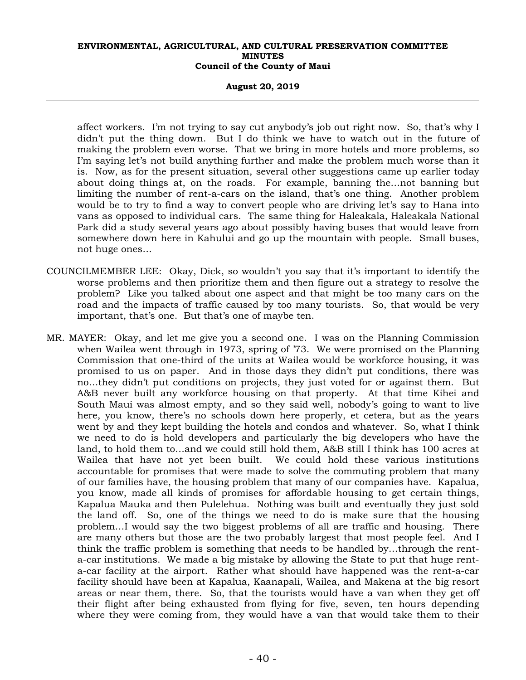#### **August 20, 2019**

affect workers. I'm not trying to say cut anybody's job out right now. So, that's why I didn't put the thing down. But I do think we have to watch out in the future of making the problem even worse. That we bring in more hotels and more problems, so I'm saying let's not build anything further and make the problem much worse than it is. Now, as for the present situation, several other suggestions came up earlier today about doing things at, on the roads. For example, banning the…not banning but limiting the number of rent-a-cars on the island, that's one thing. Another problem would be to try to find a way to convert people who are driving let's say to Hana into vans as opposed to individual cars. The same thing for Haleakala, Haleakala National Park did a study several years ago about possibly having buses that would leave from somewhere down here in Kahului and go up the mountain with people. Small buses, not huge ones…

- COUNCILMEMBER LEE: Okay, Dick, so wouldn't you say that it's important to identify the worse problems and then prioritize them and then figure out a strategy to resolve the problem? Like you talked about one aspect and that might be too many cars on the road and the impacts of traffic caused by too many tourists. So, that would be very important, that's one. But that's one of maybe ten.
- MR. MAYER: Okay, and let me give you a second one. I was on the Planning Commission when Wailea went through in 1973, spring of '73. We were promised on the Planning Commission that one-third of the units at Wailea would be workforce housing, it was promised to us on paper. And in those days they didn't put conditions, there was no…they didn't put conditions on projects, they just voted for or against them. But A&B never built any workforce housing on that property. At that time Kihei and South Maui was almost empty, and so they said well, nobody's going to want to live here, you know, there's no schools down here properly, et cetera, but as the years went by and they kept building the hotels and condos and whatever. So, what I think we need to do is hold developers and particularly the big developers who have the land, to hold them to…and we could still hold them, A&B still I think has 100 acres at Wailea that have not yet been built. We could hold these various institutions accountable for promises that were made to solve the commuting problem that many of our families have, the housing problem that many of our companies have. Kapalua, you know, made all kinds of promises for affordable housing to get certain things, Kapalua Mauka and then Pulelehua. Nothing was built and eventually they just sold the land off. So, one of the things we need to do is make sure that the housing problem…I would say the two biggest problems of all are traffic and housing. There are many others but those are the two probably largest that most people feel. And I think the traffic problem is something that needs to be handled by…through the renta-car institutions. We made a big mistake by allowing the State to put that huge renta-car facility at the airport. Rather what should have happened was the rent-a-car facility should have been at Kapalua, Kaanapali, Wailea, and Makena at the big resort areas or near them, there. So, that the tourists would have a van when they get off their flight after being exhausted from flying for five, seven, ten hours depending where they were coming from, they would have a van that would take them to their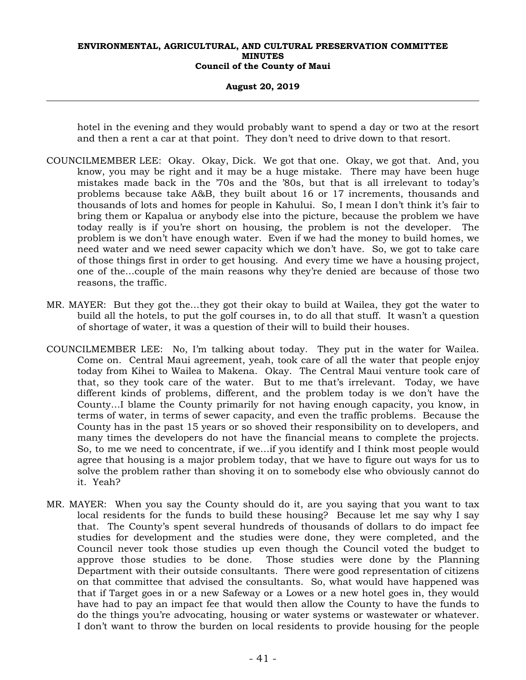### **August 20, 2019**

hotel in the evening and they would probably want to spend a day or two at the resort and then a rent a car at that point. They don't need to drive down to that resort.

- COUNCILMEMBER LEE: Okay. Okay, Dick. We got that one. Okay, we got that. And, you know, you may be right and it may be a huge mistake. There may have been huge mistakes made back in the '70s and the '80s, but that is all irrelevant to today's problems because take A&B, they built about 16 or 17 increments, thousands and thousands of lots and homes for people in Kahului. So, I mean I don't think it's fair to bring them or Kapalua or anybody else into the picture, because the problem we have today really is if you're short on housing, the problem is not the developer. The problem is we don't have enough water. Even if we had the money to build homes, we need water and we need sewer capacity which we don't have. So, we got to take care of those things first in order to get housing. And every time we have a housing project, one of the…couple of the main reasons why they're denied are because of those two reasons, the traffic.
- MR. MAYER: But they got the…they got their okay to build at Wailea, they got the water to build all the hotels, to put the golf courses in, to do all that stuff. It wasn't a question of shortage of water, it was a question of their will to build their houses.
- COUNCILMEMBER LEE: No, I'm talking about today. They put in the water for Wailea. Come on. Central Maui agreement, yeah, took care of all the water that people enjoy today from Kihei to Wailea to Makena. Okay. The Central Maui venture took care of that, so they took care of the water. But to me that's irrelevant. Today, we have different kinds of problems, different, and the problem today is we don't have the County…I blame the County primarily for not having enough capacity, you know, in terms of water, in terms of sewer capacity, and even the traffic problems. Because the County has in the past 15 years or so shoved their responsibility on to developers, and many times the developers do not have the financial means to complete the projects. So, to me we need to concentrate, if we…if you identify and I think most people would agree that housing is a major problem today, that we have to figure out ways for us to solve the problem rather than shoving it on to somebody else who obviously cannot do it. Yeah?
- MR. MAYER: When you say the County should do it, are you saying that you want to tax local residents for the funds to build these housing? Because let me say why I say that. The County's spent several hundreds of thousands of dollars to do impact fee studies for development and the studies were done, they were completed, and the Council never took those studies up even though the Council voted the budget to approve those studies to be done. Those studies were done by the Planning Department with their outside consultants. There were good representation of citizens on that committee that advised the consultants. So, what would have happened was that if Target goes in or a new Safeway or a Lowes or a new hotel goes in, they would have had to pay an impact fee that would then allow the County to have the funds to do the things you're advocating, housing or water systems or wastewater or whatever. I don't want to throw the burden on local residents to provide housing for the people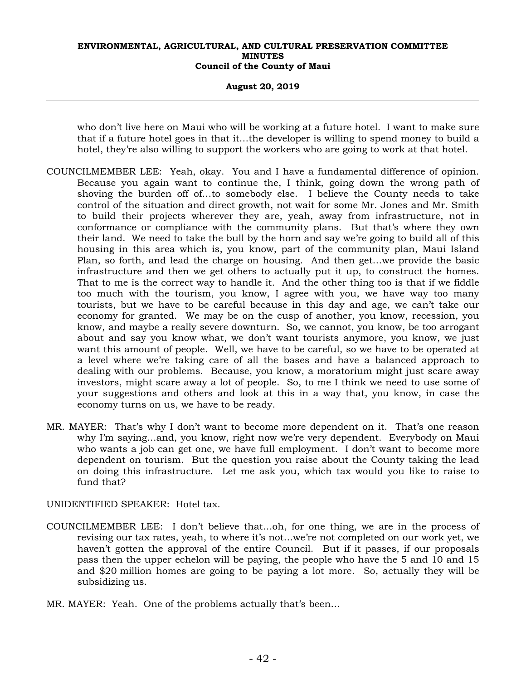#### **August 20, 2019**

who don't live here on Maui who will be working at a future hotel. I want to make sure that if a future hotel goes in that it…the developer is willing to spend money to build a hotel, they're also willing to support the workers who are going to work at that hotel.

- COUNCILMEMBER LEE: Yeah, okay. You and I have a fundamental difference of opinion. Because you again want to continue the, I think, going down the wrong path of shoving the burden off of…to somebody else. I believe the County needs to take control of the situation and direct growth, not wait for some Mr. Jones and Mr. Smith to build their projects wherever they are, yeah, away from infrastructure, not in conformance or compliance with the community plans. But that's where they own their land. We need to take the bull by the horn and say we're going to build all of this housing in this area which is, you know, part of the community plan, Maui Island Plan, so forth, and lead the charge on housing. And then get…we provide the basic infrastructure and then we get others to actually put it up, to construct the homes. That to me is the correct way to handle it. And the other thing too is that if we fiddle too much with the tourism, you know, I agree with you, we have way too many tourists, but we have to be careful because in this day and age, we can't take our economy for granted. We may be on the cusp of another, you know, recession, you know, and maybe a really severe downturn. So, we cannot, you know, be too arrogant about and say you know what, we don't want tourists anymore, you know, we just want this amount of people. Well, we have to be careful, so we have to be operated at a level where we're taking care of all the bases and have a balanced approach to dealing with our problems. Because, you know, a moratorium might just scare away investors, might scare away a lot of people. So, to me I think we need to use some of your suggestions and others and look at this in a way that, you know, in case the economy turns on us, we have to be ready.
- MR. MAYER: That's why I don't want to become more dependent on it. That's one reason why I'm saying…and, you know, right now we're very dependent. Everybody on Maui who wants a job can get one, we have full employment. I don't want to become more dependent on tourism. But the question you raise about the County taking the lead on doing this infrastructure. Let me ask you, which tax would you like to raise to fund that?

UNIDENTIFIED SPEAKER: Hotel tax.

- COUNCILMEMBER LEE: I don't believe that…oh, for one thing, we are in the process of revising our tax rates, yeah, to where it's not…we're not completed on our work yet, we haven't gotten the approval of the entire Council. But if it passes, if our proposals pass then the upper echelon will be paying, the people who have the 5 and 10 and 15 and \$20 million homes are going to be paying a lot more. So, actually they will be subsidizing us.
- MR. MAYER: Yeah. One of the problems actually that's been…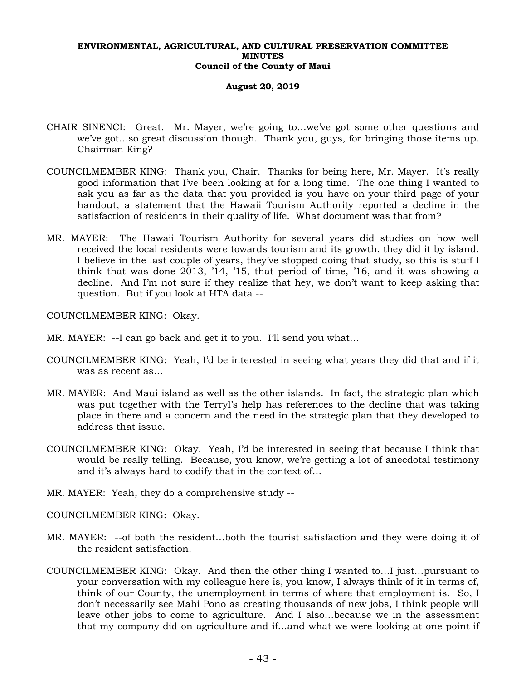## **August 20, 2019**

- CHAIR SINENCI: Great. Mr. Mayer, we're going to…we've got some other questions and we've got…so great discussion though. Thank you, guys, for bringing those items up. Chairman King?
- COUNCILMEMBER KING: Thank you, Chair. Thanks for being here, Mr. Mayer. It's really good information that I've been looking at for a long time. The one thing I wanted to ask you as far as the data that you provided is you have on your third page of your handout, a statement that the Hawaii Tourism Authority reported a decline in the satisfaction of residents in their quality of life. What document was that from?
- MR. MAYER: The Hawaii Tourism Authority for several years did studies on how well received the local residents were towards tourism and its growth, they did it by island. I believe in the last couple of years, they've stopped doing that study, so this is stuff I think that was done 2013, '14, '15, that period of time, '16, and it was showing a decline. And I'm not sure if they realize that hey, we don't want to keep asking that question. But if you look at HTA data --

COUNCILMEMBER KING: Okay.

- MR. MAYER: --I can go back and get it to you. I'll send you what...
- COUNCILMEMBER KING: Yeah, I'd be interested in seeing what years they did that and if it was as recent as…
- MR. MAYER: And Maui island as well as the other islands. In fact, the strategic plan which was put together with the Terryl's help has references to the decline that was taking place in there and a concern and the need in the strategic plan that they developed to address that issue.
- COUNCILMEMBER KING: Okay. Yeah, I'd be interested in seeing that because I think that would be really telling. Because, you know, we're getting a lot of anecdotal testimony and it's always hard to codify that in the context of…
- MR. MAYER: Yeah, they do a comprehensive study --

COUNCILMEMBER KING: Okay.

- MR. MAYER: --of both the resident…both the tourist satisfaction and they were doing it of the resident satisfaction.
- COUNCILMEMBER KING: Okay. And then the other thing I wanted to…I just…pursuant to your conversation with my colleague here is, you know, I always think of it in terms of, think of our County, the unemployment in terms of where that employment is. So, I don't necessarily see Mahi Pono as creating thousands of new jobs, I think people will leave other jobs to come to agriculture. And I also…because we in the assessment that my company did on agriculture and if…and what we were looking at one point if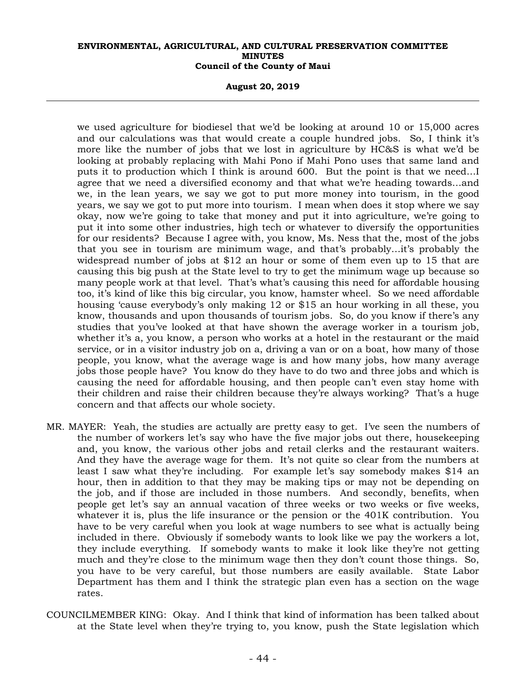**August 20, 2019** 

we used agriculture for biodiesel that we'd be looking at around 10 or 15,000 acres and our calculations was that would create a couple hundred jobs. So, I think it's more like the number of jobs that we lost in agriculture by HC&S is what we'd be looking at probably replacing with Mahi Pono if Mahi Pono uses that same land and puts it to production which I think is around 600. But the point is that we need…I agree that we need a diversified economy and that what we're heading towards…and we, in the lean years, we say we got to put more money into tourism, in the good years, we say we got to put more into tourism. I mean when does it stop where we say okay, now we're going to take that money and put it into agriculture, we're going to put it into some other industries, high tech or whatever to diversify the opportunities for our residents? Because I agree with, you know, Ms. Ness that the, most of the jobs that you see in tourism are minimum wage, and that's probably…it's probably the widespread number of jobs at \$12 an hour or some of them even up to 15 that are causing this big push at the State level to try to get the minimum wage up because so many people work at that level. That's what's causing this need for affordable housing too, it's kind of like this big circular, you know, hamster wheel. So we need affordable housing 'cause everybody's only making 12 or \$15 an hour working in all these, you know, thousands and upon thousands of tourism jobs. So, do you know if there's any studies that you've looked at that have shown the average worker in a tourism job, whether it's a, you know, a person who works at a hotel in the restaurant or the maid service, or in a visitor industry job on a, driving a van or on a boat, how many of those people, you know, what the average wage is and how many jobs, how many average jobs those people have? You know do they have to do two and three jobs and which is causing the need for affordable housing, and then people can't even stay home with their children and raise their children because they're always working? That's a huge concern and that affects our whole society.

- MR. MAYER: Yeah, the studies are actually are pretty easy to get. I've seen the numbers of the number of workers let's say who have the five major jobs out there, housekeeping and, you know, the various other jobs and retail clerks and the restaurant waiters. And they have the average wage for them. It's not quite so clear from the numbers at least I saw what they're including. For example let's say somebody makes \$14 an hour, then in addition to that they may be making tips or may not be depending on the job, and if those are included in those numbers. And secondly, benefits, when people get let's say an annual vacation of three weeks or two weeks or five weeks, whatever it is, plus the life insurance or the pension or the 401K contribution. You have to be very careful when you look at wage numbers to see what is actually being included in there. Obviously if somebody wants to look like we pay the workers a lot, they include everything. If somebody wants to make it look like they're not getting much and they're close to the minimum wage then they don't count those things. So, you have to be very careful, but those numbers are easily available. State Labor Department has them and I think the strategic plan even has a section on the wage rates.
- COUNCILMEMBER KING: Okay. And I think that kind of information has been talked about at the State level when they're trying to, you know, push the State legislation which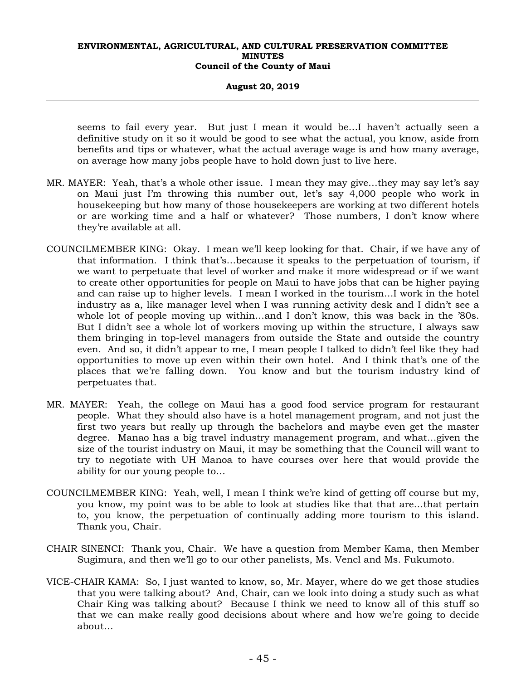**August 20, 2019** 

seems to fail every year. But just I mean it would be…I haven't actually seen a definitive study on it so it would be good to see what the actual, you know, aside from benefits and tips or whatever, what the actual average wage is and how many average, on average how many jobs people have to hold down just to live here.

- MR. MAYER: Yeah, that's a whole other issue. I mean they may give…they may say let's say on Maui just I'm throwing this number out, let's say 4,000 people who work in housekeeping but how many of those housekeepers are working at two different hotels or are working time and a half or whatever? Those numbers, I don't know where they're available at all.
- COUNCILMEMBER KING: Okay. I mean we'll keep looking for that. Chair, if we have any of that information. I think that's…because it speaks to the perpetuation of tourism, if we want to perpetuate that level of worker and make it more widespread or if we want to create other opportunities for people on Maui to have jobs that can be higher paying and can raise up to higher levels. I mean I worked in the tourism…I work in the hotel industry as a, like manager level when I was running activity desk and I didn't see a whole lot of people moving up within…and I don't know, this was back in the '80s. But I didn't see a whole lot of workers moving up within the structure, I always saw them bringing in top-level managers from outside the State and outside the country even. And so, it didn't appear to me, I mean people I talked to didn't feel like they had opportunities to move up even within their own hotel. And I think that's one of the places that we're falling down. You know and but the tourism industry kind of perpetuates that.
- MR. MAYER: Yeah, the college on Maui has a good food service program for restaurant people. What they should also have is a hotel management program, and not just the first two years but really up through the bachelors and maybe even get the master degree. Manao has a big travel industry management program, and what…given the size of the tourist industry on Maui, it may be something that the Council will want to try to negotiate with UH Manoa to have courses over here that would provide the ability for our young people to…
- COUNCILMEMBER KING: Yeah, well, I mean I think we're kind of getting off course but my, you know, my point was to be able to look at studies like that that are…that pertain to, you know, the perpetuation of continually adding more tourism to this island. Thank you, Chair.
- CHAIR SINENCI: Thank you, Chair. We have a question from Member Kama, then Member Sugimura, and then we'll go to our other panelists, Ms. Vencl and Ms. Fukumoto.
- VICE-CHAIR KAMA: So, I just wanted to know, so, Mr. Mayer, where do we get those studies that you were talking about? And, Chair, can we look into doing a study such as what Chair King was talking about? Because I think we need to know all of this stuff so that we can make really good decisions about where and how we're going to decide about…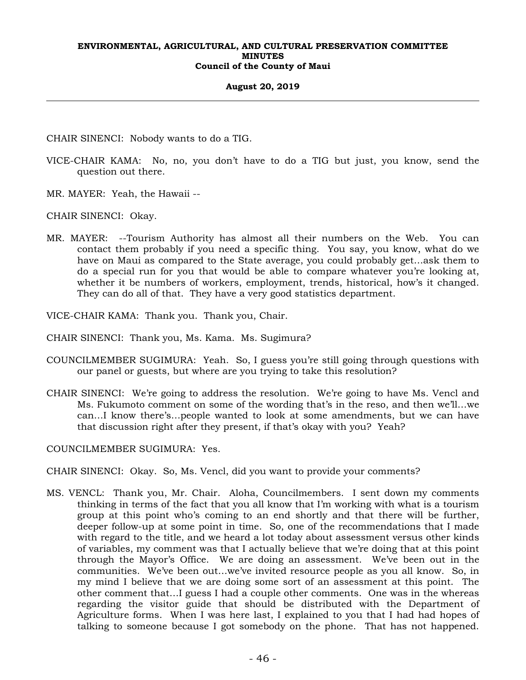#### **August 20, 2019**

CHAIR SINENCI: Nobody wants to do a TIG.

- VICE-CHAIR KAMA: No, no, you don't have to do a TIG but just, you know, send the question out there.
- MR. MAYER: Yeah, the Hawaii --

CHAIR SINENCI: Okay.

MR. MAYER: --Tourism Authority has almost all their numbers on the Web. You can contact them probably if you need a specific thing. You say, you know, what do we have on Maui as compared to the State average, you could probably get…ask them to do a special run for you that would be able to compare whatever you're looking at, whether it be numbers of workers, employment, trends, historical, how's it changed. They can do all of that. They have a very good statistics department.

VICE-CHAIR KAMA: Thank you. Thank you, Chair.

CHAIR SINENCI: Thank you, Ms. Kama. Ms. Sugimura?

- COUNCILMEMBER SUGIMURA: Yeah. So, I guess you're still going through questions with our panel or guests, but where are you trying to take this resolution?
- CHAIR SINENCI: We're going to address the resolution. We're going to have Ms. Vencl and Ms. Fukumoto comment on some of the wording that's in the reso, and then we'll…we can…I know there's…people wanted to look at some amendments, but we can have that discussion right after they present, if that's okay with you? Yeah?

COUNCILMEMBER SUGIMURA: Yes.

CHAIR SINENCI: Okay. So, Ms. Vencl, did you want to provide your comments?

MS. VENCL: Thank you, Mr. Chair. Aloha, Councilmembers. I sent down my comments thinking in terms of the fact that you all know that I'm working with what is a tourism group at this point who's coming to an end shortly and that there will be further, deeper follow-up at some point in time. So, one of the recommendations that I made with regard to the title, and we heard a lot today about assessment versus other kinds of variables, my comment was that I actually believe that we're doing that at this point through the Mayor's Office. We are doing an assessment. We've been out in the communities. We've been out…we've invited resource people as you all know. So, in my mind I believe that we are doing some sort of an assessment at this point. The other comment that…I guess I had a couple other comments. One was in the whereas regarding the visitor guide that should be distributed with the Department of Agriculture forms. When I was here last, I explained to you that I had had hopes of talking to someone because I got somebody on the phone. That has not happened.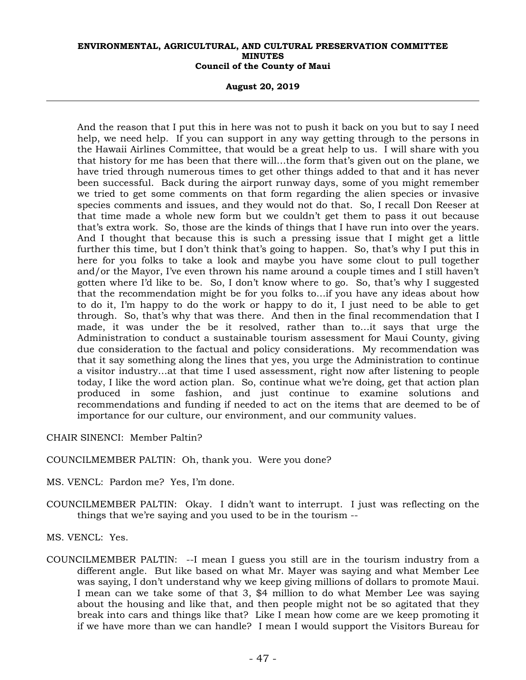**August 20, 2019** 

And the reason that I put this in here was not to push it back on you but to say I need help, we need help. If you can support in any way getting through to the persons in the Hawaii Airlines Committee, that would be a great help to us. I will share with you that history for me has been that there will…the form that's given out on the plane, we have tried through numerous times to get other things added to that and it has never been successful. Back during the airport runway days, some of you might remember we tried to get some comments on that form regarding the alien species or invasive species comments and issues, and they would not do that. So, I recall Don Reeser at that time made a whole new form but we couldn't get them to pass it out because that's extra work. So, those are the kinds of things that I have run into over the years. And I thought that because this is such a pressing issue that I might get a little further this time, but I don't think that's going to happen. So, that's why I put this in here for you folks to take a look and maybe you have some clout to pull together and/or the Mayor, I've even thrown his name around a couple times and I still haven't gotten where I'd like to be. So, I don't know where to go. So, that's why I suggested that the recommendation might be for you folks to…if you have any ideas about how to do it, I'm happy to do the work or happy to do it, I just need to be able to get through. So, that's why that was there. And then in the final recommendation that I made, it was under the be it resolved, rather than to…it says that urge the Administration to conduct a sustainable tourism assessment for Maui County, giving due consideration to the factual and policy considerations. My recommendation was that it say something along the lines that yes, you urge the Administration to continue a visitor industry…at that time I used assessment, right now after listening to people today, I like the word action plan. So, continue what we're doing, get that action plan produced in some fashion, and just continue to examine solutions and recommendations and funding if needed to act on the items that are deemed to be of importance for our culture, our environment, and our community values.

CHAIR SINENCI: Member Paltin?

COUNCILMEMBER PALTIN: Oh, thank you. Were you done?

- MS. VENCL: Pardon me? Yes, I'm done.
- COUNCILMEMBER PALTIN: Okay. I didn't want to interrupt. I just was reflecting on the things that we're saying and you used to be in the tourism --

MS. VENCL: Yes.

COUNCILMEMBER PALTIN: --I mean I guess you still are in the tourism industry from a different angle. But like based on what Mr. Mayer was saying and what Member Lee was saying, I don't understand why we keep giving millions of dollars to promote Maui. I mean can we take some of that 3, \$4 million to do what Member Lee was saying about the housing and like that, and then people might not be so agitated that they break into cars and things like that? Like I mean how come are we keep promoting it if we have more than we can handle? I mean I would support the Visitors Bureau for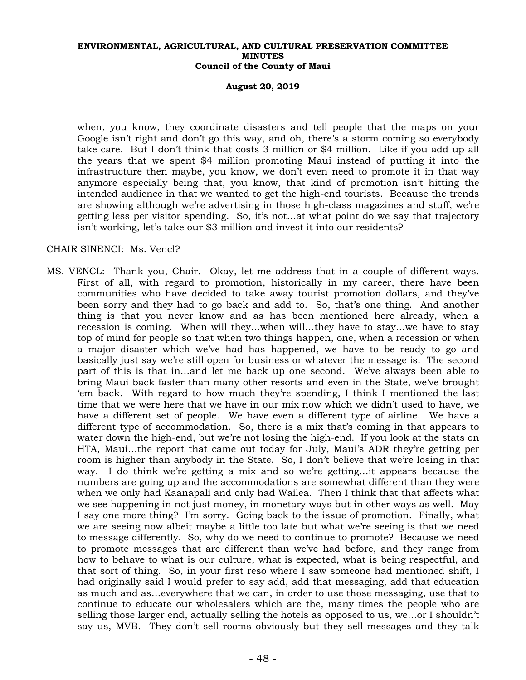**August 20, 2019** 

when, you know, they coordinate disasters and tell people that the maps on your Google isn't right and don't go this way, and oh, there's a storm coming so everybody take care. But I don't think that costs 3 million or \$4 million. Like if you add up all the years that we spent \$4 million promoting Maui instead of putting it into the infrastructure then maybe, you know, we don't even need to promote it in that way anymore especially being that, you know, that kind of promotion isn't hitting the intended audience in that we wanted to get the high-end tourists. Because the trends are showing although we're advertising in those high-class magazines and stuff, we're getting less per visitor spending. So, it's not…at what point do we say that trajectory isn't working, let's take our \$3 million and invest it into our residents?

# CHAIR SINENCI: Ms. Vencl?

MS. VENCL: Thank you, Chair. Okay, let me address that in a couple of different ways. First of all, with regard to promotion, historically in my career, there have been communities who have decided to take away tourist promotion dollars, and they've been sorry and they had to go back and add to. So, that's one thing. And another thing is that you never know and as has been mentioned here already, when a recession is coming. When will they…when will…they have to stay…we have to stay top of mind for people so that when two things happen, one, when a recession or when a major disaster which we've had has happened, we have to be ready to go and basically just say we're still open for business or whatever the message is. The second part of this is that in…and let me back up one second. We've always been able to bring Maui back faster than many other resorts and even in the State, we've brought 'em back. With regard to how much they're spending, I think I mentioned the last time that we were here that we have in our mix now which we didn't used to have, we have a different set of people. We have even a different type of airline. We have a different type of accommodation. So, there is a mix that's coming in that appears to water down the high-end, but we're not losing the high-end. If you look at the stats on HTA, Maui…the report that came out today for July, Maui's ADR they're getting per room is higher than anybody in the State. So, I don't believe that we're losing in that way. I do think we're getting a mix and so we're getting…it appears because the numbers are going up and the accommodations are somewhat different than they were when we only had Kaanapali and only had Wailea. Then I think that that affects what we see happening in not just money, in monetary ways but in other ways as well. May I say one more thing? I'm sorry. Going back to the issue of promotion. Finally, what we are seeing now albeit maybe a little too late but what we're seeing is that we need to message differently. So, why do we need to continue to promote? Because we need to promote messages that are different than we've had before, and they range from how to behave to what is our culture, what is expected, what is being respectful, and that sort of thing. So, in your first reso where I saw someone had mentioned shift, I had originally said I would prefer to say add, add that messaging, add that education as much and as…everywhere that we can, in order to use those messaging, use that to continue to educate our wholesalers which are the, many times the people who are selling those larger end, actually selling the hotels as opposed to us, we…or I shouldn't say us, MVB. They don't sell rooms obviously but they sell messages and they talk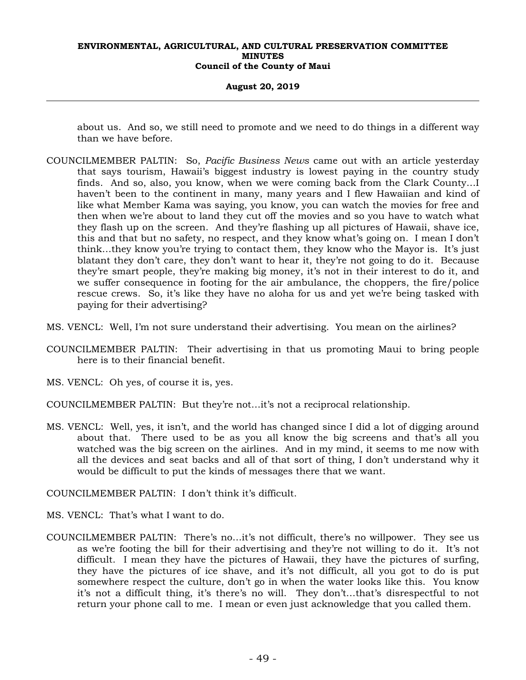#### **August 20, 2019**

about us. And so, we still need to promote and we need to do things in a different way than we have before.

- COUNCILMEMBER PALTIN: So, *Pacific Business News* came out with an article yesterday that says tourism, Hawaii's biggest industry is lowest paying in the country study finds. And so, also, you know, when we were coming back from the Clark County…I haven't been to the continent in many, many years and I flew Hawaiian and kind of like what Member Kama was saying, you know, you can watch the movies for free and then when we're about to land they cut off the movies and so you have to watch what they flash up on the screen. And they're flashing up all pictures of Hawaii, shave ice, this and that but no safety, no respect, and they know what's going on. I mean I don't think…they know you're trying to contact them, they know who the Mayor is. It's just blatant they don't care, they don't want to hear it, they're not going to do it. Because they're smart people, they're making big money, it's not in their interest to do it, and we suffer consequence in footing for the air ambulance, the choppers, the fire/police rescue crews. So, it's like they have no aloha for us and yet we're being tasked with paying for their advertising?
- MS. VENCL: Well, I'm not sure understand their advertising. You mean on the airlines?
- COUNCILMEMBER PALTIN: Their advertising in that us promoting Maui to bring people here is to their financial benefit.
- MS. VENCL: Oh yes, of course it is, yes.
- COUNCILMEMBER PALTIN: But they're not…it's not a reciprocal relationship.
- MS. VENCL: Well, yes, it isn't, and the world has changed since I did a lot of digging around about that. There used to be as you all know the big screens and that's all you watched was the big screen on the airlines. And in my mind, it seems to me now with all the devices and seat backs and all of that sort of thing, I don't understand why it would be difficult to put the kinds of messages there that we want.

COUNCILMEMBER PALTIN: I don't think it's difficult.

- MS. VENCL: That's what I want to do.
- COUNCILMEMBER PALTIN: There's no…it's not difficult, there's no willpower. They see us as we're footing the bill for their advertising and they're not willing to do it. It's not difficult. I mean they have the pictures of Hawaii, they have the pictures of surfing, they have the pictures of ice shave, and it's not difficult, all you got to do is put somewhere respect the culture, don't go in when the water looks like this. You know it's not a difficult thing, it's there's no will. They don't…that's disrespectful to not return your phone call to me. I mean or even just acknowledge that you called them.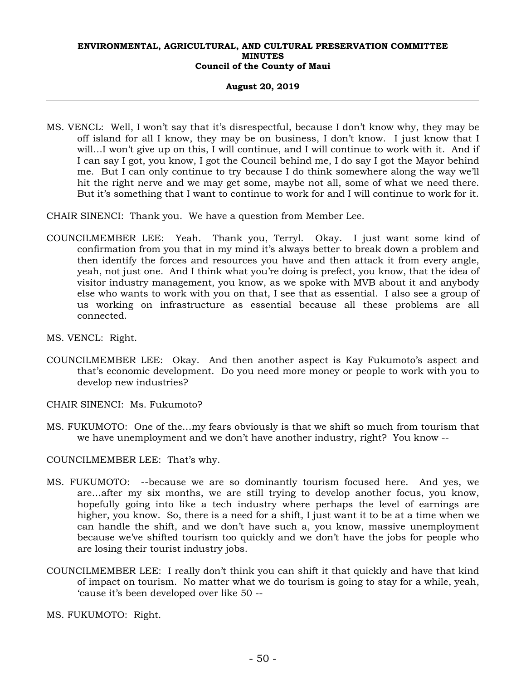## **August 20, 2019**

MS. VENCL: Well, I won't say that it's disrespectful, because I don't know why, they may be off island for all I know, they may be on business, I don't know. I just know that I will…I won't give up on this, I will continue, and I will continue to work with it. And if I can say I got, you know, I got the Council behind me, I do say I got the Mayor behind me. But I can only continue to try because I do think somewhere along the way we'll hit the right nerve and we may get some, maybe not all, some of what we need there. But it's something that I want to continue to work for and I will continue to work for it.

CHAIR SINENCI: Thank you. We have a question from Member Lee.

- COUNCILMEMBER LEE: Yeah. Thank you, Terryl. Okay. I just want some kind of confirmation from you that in my mind it's always better to break down a problem and then identify the forces and resources you have and then attack it from every angle, yeah, not just one. And I think what you're doing is prefect, you know, that the idea of visitor industry management, you know, as we spoke with MVB about it and anybody else who wants to work with you on that, I see that as essential. I also see a group of us working on infrastructure as essential because all these problems are all connected.
- MS. VENCL: Right.
- COUNCILMEMBER LEE: Okay. And then another aspect is Kay Fukumoto's aspect and that's economic development. Do you need more money or people to work with you to develop new industries?
- CHAIR SINENCI: Ms. Fukumoto?
- MS. FUKUMOTO: One of the…my fears obviously is that we shift so much from tourism that we have unemployment and we don't have another industry, right? You know --

COUNCILMEMBER LEE: That's why.

- MS. FUKUMOTO: --because we are so dominantly tourism focused here. And yes, we are…after my six months, we are still trying to develop another focus, you know, hopefully going into like a tech industry where perhaps the level of earnings are higher, you know. So, there is a need for a shift, I just want it to be at a time when we can handle the shift, and we don't have such a, you know, massive unemployment because we've shifted tourism too quickly and we don't have the jobs for people who are losing their tourist industry jobs.
- COUNCILMEMBER LEE: I really don't think you can shift it that quickly and have that kind of impact on tourism. No matter what we do tourism is going to stay for a while, yeah, 'cause it's been developed over like 50 --

MS. FUKUMOTO: Right.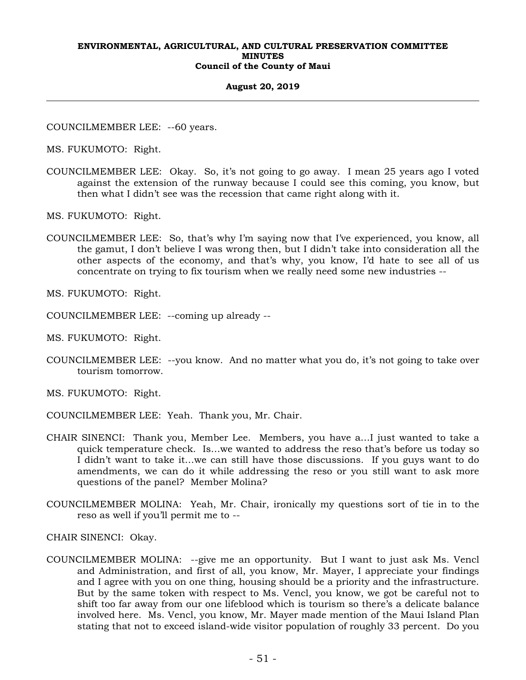#### **August 20, 2019**

COUNCILMEMBER LEE: --60 years.

MS. FUKUMOTO: Right.

COUNCILMEMBER LEE: Okay. So, it's not going to go away. I mean 25 years ago I voted against the extension of the runway because I could see this coming, you know, but then what I didn't see was the recession that came right along with it.

MS. FUKUMOTO: Right.

COUNCILMEMBER LEE: So, that's why I'm saying now that I've experienced, you know, all the gamut, I don't believe I was wrong then, but I didn't take into consideration all the other aspects of the economy, and that's why, you know, I'd hate to see all of us concentrate on trying to fix tourism when we really need some new industries --

MS. FUKUMOTO: Right.

COUNCILMEMBER LEE: --coming up already --

MS. FUKUMOTO: Right.

COUNCILMEMBER LEE: --you know. And no matter what you do, it's not going to take over tourism tomorrow.

MS. FUKUMOTO: Right.

- COUNCILMEMBER LEE: Yeah. Thank you, Mr. Chair.
- CHAIR SINENCI: Thank you, Member Lee. Members, you have a…I just wanted to take a quick temperature check. Is…we wanted to address the reso that's before us today so I didn't want to take it…we can still have those discussions. If you guys want to do amendments, we can do it while addressing the reso or you still want to ask more questions of the panel? Member Molina?
- COUNCILMEMBER MOLINA: Yeah, Mr. Chair, ironically my questions sort of tie in to the reso as well if you'll permit me to --

CHAIR SINENCI: Okay.

COUNCILMEMBER MOLINA: --give me an opportunity. But I want to just ask Ms. Vencl and Administration, and first of all, you know, Mr. Mayer, I appreciate your findings and I agree with you on one thing, housing should be a priority and the infrastructure. But by the same token with respect to Ms. Vencl, you know, we got be careful not to shift too far away from our one lifeblood which is tourism so there's a delicate balance involved here. Ms. Vencl, you know, Mr. Mayer made mention of the Maui Island Plan stating that not to exceed island-wide visitor population of roughly 33 percent. Do you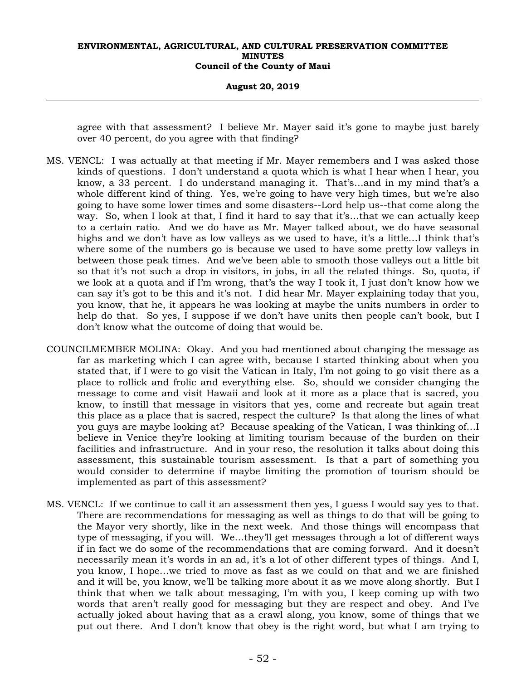#### **August 20, 2019**

agree with that assessment? I believe Mr. Mayer said it's gone to maybe just barely over 40 percent, do you agree with that finding?

- MS. VENCL: I was actually at that meeting if Mr. Mayer remembers and I was asked those kinds of questions. I don't understand a quota which is what I hear when I hear, you know, a 33 percent. I do understand managing it. That's…and in my mind that's a whole different kind of thing. Yes, we're going to have very high times, but we're also going to have some lower times and some disasters--Lord help us--that come along the way. So, when I look at that, I find it hard to say that it's…that we can actually keep to a certain ratio. And we do have as Mr. Mayer talked about, we do have seasonal highs and we don't have as low valleys as we used to have, it's a little...I think that's where some of the numbers go is because we used to have some pretty low valleys in between those peak times. And we've been able to smooth those valleys out a little bit so that it's not such a drop in visitors, in jobs, in all the related things. So, quota, if we look at a quota and if I'm wrong, that's the way I took it, I just don't know how we can say it's got to be this and it's not. I did hear Mr. Mayer explaining today that you, you know, that he, it appears he was looking at maybe the units numbers in order to help do that. So yes, I suppose if we don't have units then people can't book, but I don't know what the outcome of doing that would be.
- COUNCILMEMBER MOLINA: Okay. And you had mentioned about changing the message as far as marketing which I can agree with, because I started thinking about when you stated that, if I were to go visit the Vatican in Italy, I'm not going to go visit there as a place to rollick and frolic and everything else. So, should we consider changing the message to come and visit Hawaii and look at it more as a place that is sacred, you know, to instill that message in visitors that yes, come and recreate but again treat this place as a place that is sacred, respect the culture? Is that along the lines of what you guys are maybe looking at? Because speaking of the Vatican, I was thinking of…I believe in Venice they're looking at limiting tourism because of the burden on their facilities and infrastructure. And in your reso, the resolution it talks about doing this assessment, this sustainable tourism assessment. Is that a part of something you would consider to determine if maybe limiting the promotion of tourism should be implemented as part of this assessment?
- MS. VENCL: If we continue to call it an assessment then yes, I guess I would say yes to that. There are recommendations for messaging as well as things to do that will be going to the Mayor very shortly, like in the next week. And those things will encompass that type of messaging, if you will. We…they'll get messages through a lot of different ways if in fact we do some of the recommendations that are coming forward. And it doesn't necessarily mean it's words in an ad, it's a lot of other different types of things. And I, you know, I hope…we tried to move as fast as we could on that and we are finished and it will be, you know, we'll be talking more about it as we move along shortly. But I think that when we talk about messaging, I'm with you, I keep coming up with two words that aren't really good for messaging but they are respect and obey. And I've actually joked about having that as a crawl along, you know, some of things that we put out there. And I don't know that obey is the right word, but what I am trying to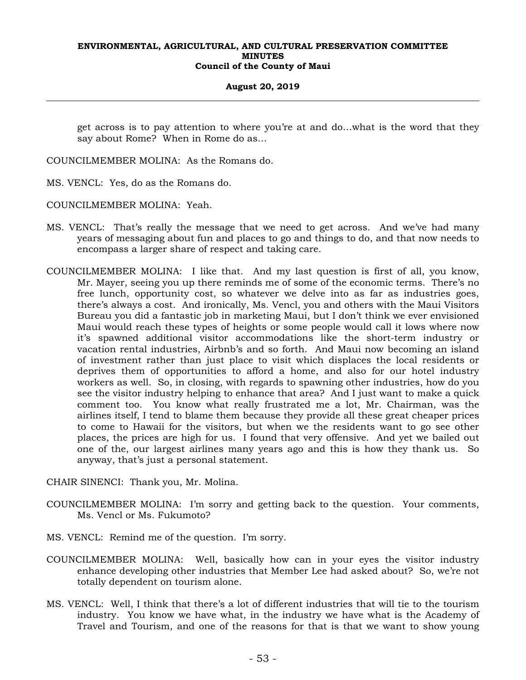## **August 20, 2019**

get across is to pay attention to where you're at and do…what is the word that they say about Rome? When in Rome do as…

COUNCILMEMBER MOLINA: As the Romans do.

MS. VENCL: Yes, do as the Romans do.

COUNCILMEMBER MOLINA: Yeah.

- MS. VENCL: That's really the message that we need to get across. And we've had many years of messaging about fun and places to go and things to do, and that now needs to encompass a larger share of respect and taking care.
- COUNCILMEMBER MOLINA: I like that. And my last question is first of all, you know, Mr. Mayer, seeing you up there reminds me of some of the economic terms. There's no free lunch, opportunity cost, so whatever we delve into as far as industries goes, there's always a cost. And ironically, Ms. Vencl, you and others with the Maui Visitors Bureau you did a fantastic job in marketing Maui, but I don't think we ever envisioned Maui would reach these types of heights or some people would call it lows where now it's spawned additional visitor accommodations like the short-term industry or vacation rental industries, Airbnb's and so forth. And Maui now becoming an island of investment rather than just place to visit which displaces the local residents or deprives them of opportunities to afford a home, and also for our hotel industry workers as well. So, in closing, with regards to spawning other industries, how do you see the visitor industry helping to enhance that area? And I just want to make a quick comment too. You know what really frustrated me a lot, Mr. Chairman, was the airlines itself, I tend to blame them because they provide all these great cheaper prices to come to Hawaii for the visitors, but when we the residents want to go see other places, the prices are high for us. I found that very offensive. And yet we bailed out one of the, our largest airlines many years ago and this is how they thank us. So anyway, that's just a personal statement.

CHAIR SINENCI: Thank you, Mr. Molina.

- COUNCILMEMBER MOLINA: I'm sorry and getting back to the question. Your comments, Ms. Vencl or Ms. Fukumoto?
- MS. VENCL: Remind me of the question. I'm sorry.
- COUNCILMEMBER MOLINA: Well, basically how can in your eyes the visitor industry enhance developing other industries that Member Lee had asked about? So, we're not totally dependent on tourism alone.
- MS. VENCL: Well, I think that there's a lot of different industries that will tie to the tourism industry. You know we have what, in the industry we have what is the Academy of Travel and Tourism, and one of the reasons for that is that we want to show young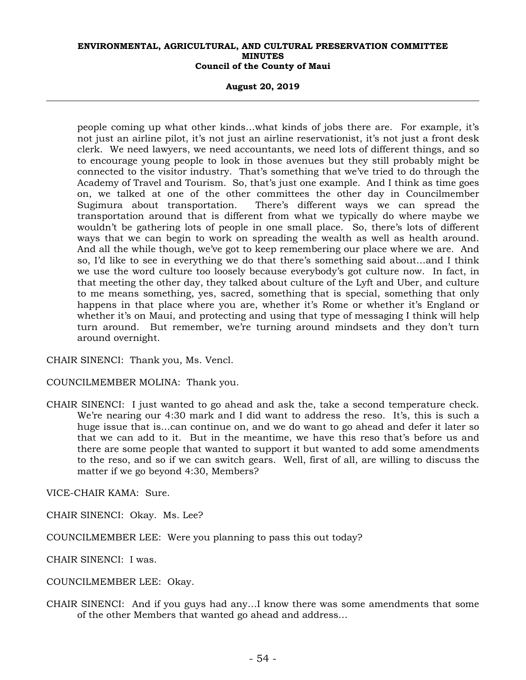**August 20, 2019** 

people coming up what other kinds…what kinds of jobs there are. For example, it's not just an airline pilot, it's not just an airline reservationist, it's not just a front desk clerk. We need lawyers, we need accountants, we need lots of different things, and so to encourage young people to look in those avenues but they still probably might be connected to the visitor industry. That's something that we've tried to do through the Academy of Travel and Tourism. So, that's just one example. And I think as time goes on, we talked at one of the other committees the other day in Councilmember Sugimura about transportation. There's different ways we can spread the transportation around that is different from what we typically do where maybe we wouldn't be gathering lots of people in one small place. So, there's lots of different ways that we can begin to work on spreading the wealth as well as health around. And all the while though, we've got to keep remembering our place where we are. And so, I'd like to see in everything we do that there's something said about…and I think we use the word culture too loosely because everybody's got culture now. In fact, in that meeting the other day, they talked about culture of the Lyft and Uber, and culture to me means something, yes, sacred, something that is special, something that only happens in that place where you are, whether it's Rome or whether it's England or whether it's on Maui, and protecting and using that type of messaging I think will help turn around. But remember, we're turning around mindsets and they don't turn around overnight.

CHAIR SINENCI: Thank you, Ms. Vencl.

COUNCILMEMBER MOLINA: Thank you.

CHAIR SINENCI: I just wanted to go ahead and ask the, take a second temperature check. We're nearing our 4:30 mark and I did want to address the reso. It's, this is such a huge issue that is…can continue on, and we do want to go ahead and defer it later so that we can add to it. But in the meantime, we have this reso that's before us and there are some people that wanted to support it but wanted to add some amendments to the reso, and so if we can switch gears. Well, first of all, are willing to discuss the matter if we go beyond 4:30, Members?

VICE-CHAIR KAMA: Sure.

CHAIR SINENCI: Okay. Ms. Lee?

COUNCILMEMBER LEE: Were you planning to pass this out today?

CHAIR SINENCI: I was.

COUNCILMEMBER LEE: Okay.

CHAIR SINENCI: And if you guys had any…I know there was some amendments that some of the other Members that wanted go ahead and address…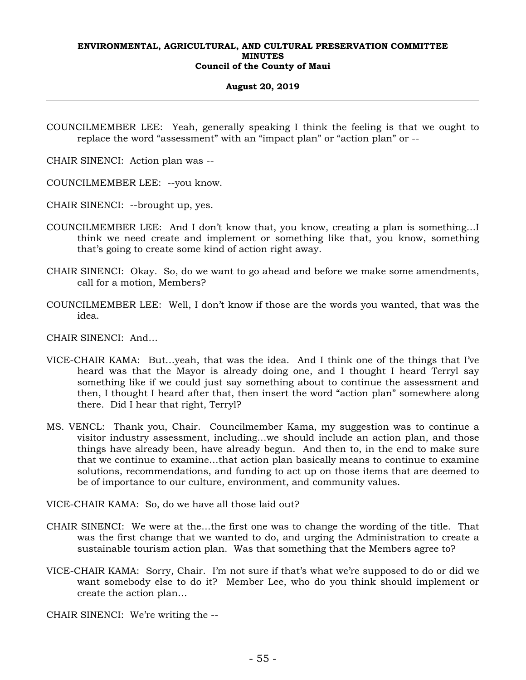#### **August 20, 2019**

COUNCILMEMBER LEE: Yeah, generally speaking I think the feeling is that we ought to replace the word "assessment" with an "impact plan" or "action plan" or --

CHAIR SINENCI: Action plan was --

COUNCILMEMBER LEE: --you know.

CHAIR SINENCI: --brought up, yes.

- COUNCILMEMBER LEE: And I don't know that, you know, creating a plan is something…I think we need create and implement or something like that, you know, something that's going to create some kind of action right away.
- CHAIR SINENCI: Okay. So, do we want to go ahead and before we make some amendments, call for a motion, Members?
- COUNCILMEMBER LEE: Well, I don't know if those are the words you wanted, that was the idea.

CHAIR SINENCI: And…

- VICE-CHAIR KAMA: But…yeah, that was the idea. And I think one of the things that I've heard was that the Mayor is already doing one, and I thought I heard Terryl say something like if we could just say something about to continue the assessment and then, I thought I heard after that, then insert the word "action plan" somewhere along there. Did I hear that right, Terryl?
- MS. VENCL: Thank you, Chair. Councilmember Kama, my suggestion was to continue a visitor industry assessment, including…we should include an action plan, and those things have already been, have already begun. And then to, in the end to make sure that we continue to examine…that action plan basically means to continue to examine solutions, recommendations, and funding to act up on those items that are deemed to be of importance to our culture, environment, and community values.
- VICE-CHAIR KAMA: So, do we have all those laid out?
- CHAIR SINENCI: We were at the…the first one was to change the wording of the title. That was the first change that we wanted to do, and urging the Administration to create a sustainable tourism action plan. Was that something that the Members agree to?
- VICE-CHAIR KAMA: Sorry, Chair. I'm not sure if that's what we're supposed to do or did we want somebody else to do it? Member Lee, who do you think should implement or create the action plan…

CHAIR SINENCI: We're writing the --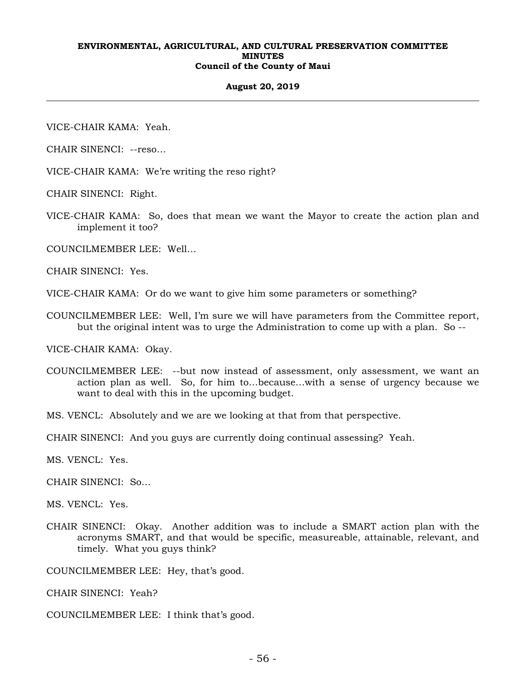#### **August 20, 2019**

VICE-CHAIR KAMA: Yeah.

CHAIR SINENCI: --reso…

VICE-CHAIR KAMA: We're writing the reso right?

CHAIR SINENCI: Right.

VICE-CHAIR KAMA: So, does that mean we want the Mayor to create the action plan and implement it too?

COUNCILMEMBER LEE: Well…

CHAIR SINENCI: Yes.

VICE-CHAIR KAMA: Or do we want to give him some parameters or something?

COUNCILMEMBER LEE: Well, I'm sure we will have parameters from the Committee report, but the original intent was to urge the Administration to come up with a plan. So --

VICE-CHAIR KAMA: Okay.

COUNCILMEMBER LEE: --but now instead of assessment, only assessment, we want an action plan as well. So, for him to…because…with a sense of urgency because we want to deal with this in the upcoming budget.

MS. VENCL: Absolutely and we are we looking at that from that perspective.

CHAIR SINENCI: And you guys are currently doing continual assessing? Yeah.

MS. VENCL: Yes.

CHAIR SINENCI: So…

MS. VENCL: Yes.

CHAIR SINENCI: Okay. Another addition was to include a SMART action plan with the acronyms SMART, and that would be specific, measureable, attainable, relevant, and timely. What you guys think?

COUNCILMEMBER LEE: Hey, that's good.

CHAIR SINENCI: Yeah?

COUNCILMEMBER LEE: I think that's good.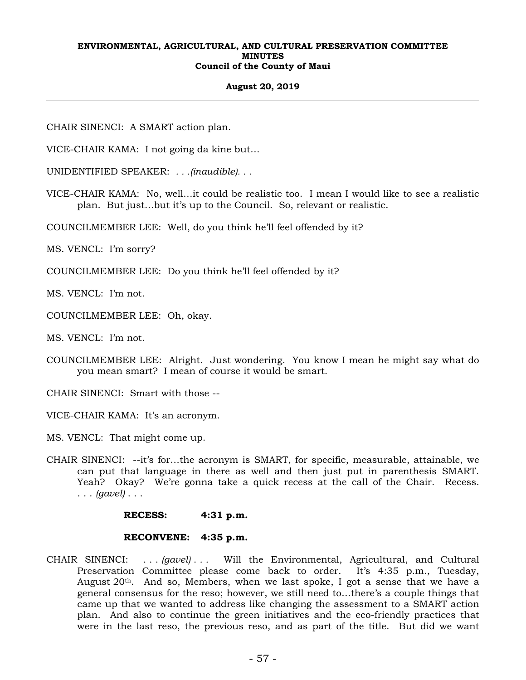## **August 20, 2019**

CHAIR SINENCI: A SMART action plan.

VICE-CHAIR KAMA: I not going da kine but…

UNIDENTIFIED SPEAKER: *. . .(inaudible). . .*

VICE-CHAIR KAMA: No, well…it could be realistic too. I mean I would like to see a realistic plan. But just…but it's up to the Council. So, relevant or realistic.

COUNCILMEMBER LEE: Well, do you think he'll feel offended by it?

MS. VENCL: I'm sorry?

COUNCILMEMBER LEE: Do you think he'll feel offended by it?

MS. VENCL: I'm not.

COUNCILMEMBER LEE: Oh, okay.

MS. VENCL: I'm not.

COUNCILMEMBER LEE: Alright. Just wondering. You know I mean he might say what do you mean smart? I mean of course it would be smart.

CHAIR SINENCI: Smart with those --

VICE-CHAIR KAMA: It's an acronym.

MS. VENCL: That might come up.

CHAIR SINENCI: --it's for…the acronym is SMART, for specific, measurable, attainable, we can put that language in there as well and then just put in parenthesis SMART. Yeah? Okay? We're gonna take a quick recess at the call of the Chair. Recess. . . . *(gavel)* . . .

 **RECESS: 4:31 p.m.** 

# **RECONVENE: 4:35 p.m.**

CHAIR SINENCI: . . . *(gavel)* . . . Will the Environmental, Agricultural, and Cultural Preservation Committee please come back to order. It's 4:35 p.m., Tuesday, August  $20<sup>th</sup>$ . And so, Members, when we last spoke, I got a sense that we have a general consensus for the reso; however, we still need to…there's a couple things that came up that we wanted to address like changing the assessment to a SMART action plan. And also to continue the green initiatives and the eco-friendly practices that were in the last reso, the previous reso, and as part of the title. But did we want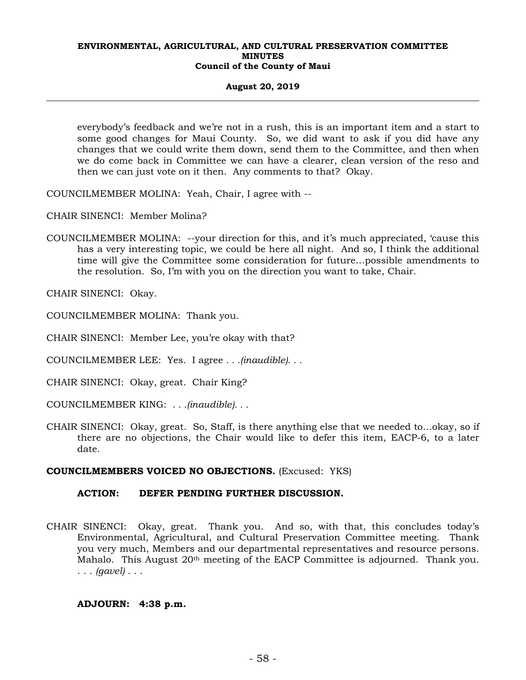## **August 20, 2019**

everybody's feedback and we're not in a rush, this is an important item and a start to some good changes for Maui County. So, we did want to ask if you did have any changes that we could write them down, send them to the Committee, and then when we do come back in Committee we can have a clearer, clean version of the reso and then we can just vote on it then. Any comments to that? Okay.

COUNCILMEMBER MOLINA: Yeah, Chair, I agree with --

CHAIR SINENCI: Member Molina?

COUNCILMEMBER MOLINA: --your direction for this, and it's much appreciated, 'cause this has a very interesting topic, we could be here all night. And so, I think the additional time will give the Committee some consideration for future…possible amendments to the resolution. So, I'm with you on the direction you want to take, Chair.

CHAIR SINENCI: Okay.

COUNCILMEMBER MOLINA: Thank you.

CHAIR SINENCI: Member Lee, you're okay with that?

COUNCILMEMBER LEE: Yes. I agree *. . .(inaudible). . .*

CHAIR SINENCI: Okay, great. Chair King?

COUNCILMEMBER KING: *. . .(inaudible). . .*

CHAIR SINENCI: Okay, great. So, Staff, is there anything else that we needed to…okay, so if there are no objections, the Chair would like to defer this item, EACP-6, to a later date.

## **COUNCILMEMBERS VOICED NO OBJECTIONS.** (Excused: YKS)

# **ACTION: DEFER PENDING FURTHER DISCUSSION.**

CHAIR SINENCI: Okay, great. Thank you. And so, with that, this concludes today's Environmental, Agricultural, and Cultural Preservation Committee meeting. Thank you very much, Members and our departmental representatives and resource persons. Mahalo. This August 20th meeting of the EACP Committee is adjourned. Thank you. . . . *(gavel)* . . .

## **ADJOURN: 4:38 p.m.**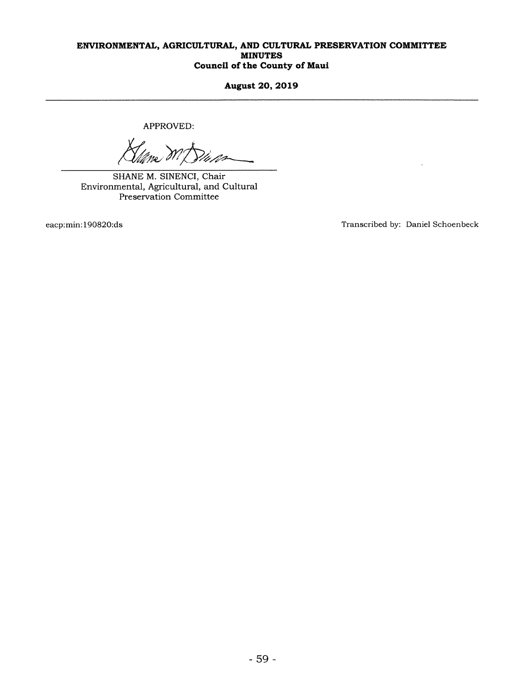August 20, 2019

APPROVED:

**MENTAL,<br>APPI<br>APPI<br>Milime<br>HANE M. S<br>HANE M. S<br>Preservation** 

SHANE M. SINENCI, Chair Environmental, Agricultural, and Cultural Preservation Committee

eacp:min:190820:ds Transcribed by: Daniel Schoenbeck